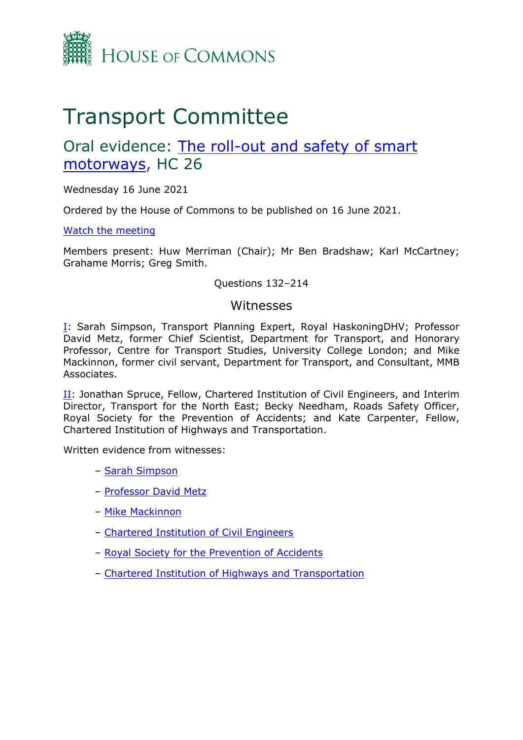

# Transport Committee

# Oral evidence: [The](https://committees.parliament.uk/work/1066/the-rollout-and-safety-of-smart-motorways/) [roll-out](https://committees.parliament.uk/work/1066/the-rollout-and-safety-of-smart-motorways/) [and](https://committees.parliament.uk/work/1066/the-rollout-and-safety-of-smart-motorways/) [safety](https://committees.parliament.uk/work/1066/the-rollout-and-safety-of-smart-motorways/) [of](https://committees.parliament.uk/work/1066/the-rollout-and-safety-of-smart-motorways/) [smart](https://committees.parliament.uk/work/1066/the-rollout-and-safety-of-smart-motorways/) [motorways](https://committees.parliament.uk/work/1066/the-rollout-and-safety-of-smart-motorways/), HC 26

Wednesday 16 June 2021

Ordered by the House of Commons to be published on 16 June 2021.

[Watch](https://parliamentlive.tv/Event/Index/b4a8cfa8-5393-4703-8616-8916ca634b89) [the](https://parliamentlive.tv/Event/Index/b4a8cfa8-5393-4703-8616-8916ca634b89) [meeting](https://parliamentlive.tv/Event/Index/b4a8cfa8-5393-4703-8616-8916ca634b89)

Members present: Huw Merriman (Chair); Mr Ben Bradshaw; Karl McCartney; Grahame Morris; Greg Smith.

#### Questions 132–214

#### Witnesses

[I:](#page-1-0) Sarah Simpson, Transport Planning Expert, Royal HaskoningDHV; Professor David Metz, former Chief Scientist, Department for Transport, and Honorary Professor, Centre for Transport Studies, University College London; and Mike Mackinnon, former civil servant, Department for Transport, and Consultant, MMB Associates.

II: Jonathan Spruce, Fellow, Chartered Institution of Civil Engineers, and Interim Director, Transport for the North East; Becky Needham, Roads Safety Officer, Royal Society for the Prevention of Accidents; and Kate Carpenter, Fellow, Chartered Institution of Highways and Transportation.

Written evidence from witnesses:

- [Sarah](https://committees.parliament.uk/writtenevidence/25598/pdf/) [Simpson](https://committees.parliament.uk/writtenevidence/25598/pdf/)
- [Professor](https://committees.parliament.uk/writtenevidence/25361/pdf/) [David](https://committees.parliament.uk/writtenevidence/25361/pdf/) [Metz](https://committees.parliament.uk/writtenevidence/25361/pdf/)
- [Mike](https://committees.parliament.uk/writtenevidence/36920/pdf/) [Mackinnon](https://committees.parliament.uk/writtenevidence/36920/pdf/)
- [Chartered](https://committees.parliament.uk/writtenevidence/25579/pdf/) [Institution](https://committees.parliament.uk/writtenevidence/25579/pdf/) [of](https://committees.parliament.uk/writtenevidence/25579/pdf/) [Civil](https://committees.parliament.uk/writtenevidence/25579/pdf/) [Engineers](https://committees.parliament.uk/writtenevidence/25579/pdf/)
- [Royal](https://committees.parliament.uk/writtenevidence/25613/pdf/) [Society](https://committees.parliament.uk/writtenevidence/25613/pdf/) [for](https://committees.parliament.uk/writtenevidence/25613/pdf/) [the](https://committees.parliament.uk/writtenevidence/25613/pdf/) [Prevention](https://committees.parliament.uk/writtenevidence/25613/pdf/) [of](https://committees.parliament.uk/writtenevidence/25613/pdf/) [Accidents](https://committees.parliament.uk/writtenevidence/25613/pdf/)
- [Chartered](https://committees.parliament.uk/writtenevidence/25643/pdf/) [Institution](https://committees.parliament.uk/writtenevidence/25643/pdf/) [of](https://committees.parliament.uk/writtenevidence/25643/pdf/) [Highways](https://committees.parliament.uk/writtenevidence/25643/pdf/) [and](https://committees.parliament.uk/writtenevidence/25643/pdf/) [Transportation](https://committees.parliament.uk/writtenevidence/25643/pdf/)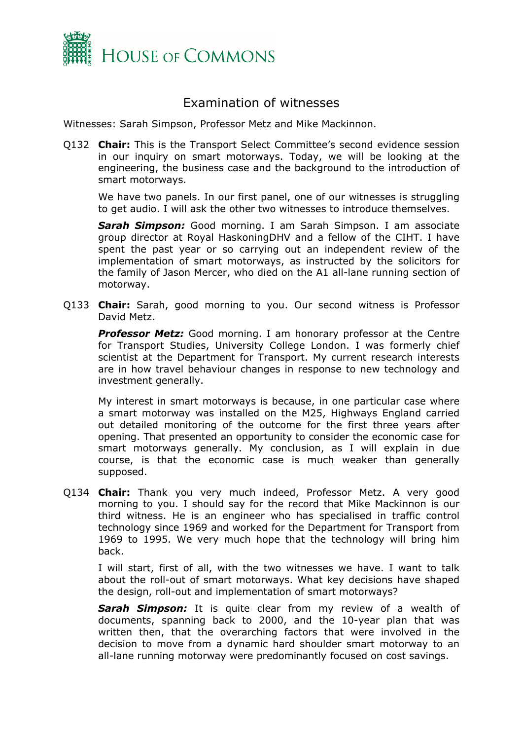

## <span id="page-1-0"></span>Examination of witnesses

Witnesses: Sarah Simpson, Professor Metz and Mike Mackinnon.

Q132 **Chair:** This is the Transport Select Committee's second evidence session in our inquiry on smart motorways. Today, we will be looking at the engineering, the business case and the background to the introduction of smart motorways.

We have two panels. In our first panel, one of our witnesses is struggling to get audio. I will ask the other two witnesses to introduce themselves.

*Sarah Simpson:* Good morning. I am Sarah Simpson. I am associate group director at Royal HaskoningDHV and a fellow of the CIHT. I have spent the past year or so carrying out an independent review of the implementation of smart motorways, as instructed by the solicitors for the family of Jason Mercer, who died on the A1 all-lane running section of motorway.

Q133 **Chair:** Sarah, good morning to you. Our second witness is Professor David Metz.

*Professor Metz:* Good morning. I am honorary professor at the Centre for Transport Studies, University College London. I was formerly chief scientist at the Department for Transport. My current research interests are in how travel behaviour changes in response to new technology and investment generally.

My interest in smart motorways is because, in one particular case where a smart motorway was installed on the M25, Highways England carried out detailed monitoring of the outcome for the first three years after opening. That presented an opportunity to consider the economic case for smart motorways generally. My conclusion, as I will explain in due course, is that the economic case is much weaker than generally supposed.

Q134 **Chair:** Thank you very much indeed, Professor Metz. A very good morning to you. I should say for the record that Mike Mackinnon is our third witness. He is an engineer who has specialised in traffic control technology since 1969 and worked for the Department for Transport from 1969 to 1995. We very much hope that the technology will bring him back.

I will start, first of all, with the two witnesses we have. I want to talk about the roll-out of smart motorways. What key decisions have shaped the design, roll-out and implementation of smart motorways?

*Sarah Simpson:* It is quite clear from my review of a wealth of documents, spanning back to 2000, and the 10-year plan that was written then, that the overarching factors that were involved in the decision to move from a dynamic hard shoulder smart motorway to an all-lane running motorway were predominantly focused on cost savings.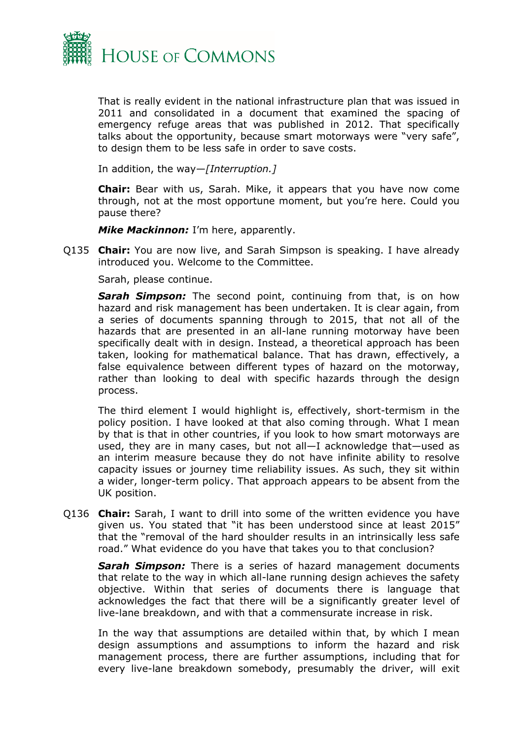

That is really evident in the national infrastructure plan that was issued in 2011 and consolidated in a document that examined the spacing of emergency refuge areas that was published in 2012. That specifically talks about the opportunity, because smart motorways were "very safe", to design them to be less safe in order to save costs.

In addition, the way—*[Interruption.]*

**Chair:** Bear with us, Sarah. Mike, it appears that you have now come through, not at the most opportune moment, but you're here. Could you pause there?

*Mike Mackinnon:* I'm here, apparently.

Q135 **Chair:** You are now live, and Sarah Simpson is speaking. I have already introduced you. Welcome to the Committee.

Sarah, please continue.

**Sarah Simpson:** The second point, continuing from that, is on how hazard and risk management has been undertaken. It is clear again, from a series of documents spanning through to 2015, that not all of the hazards that are presented in an all-lane running motorway have been specifically dealt with in design. Instead, a theoretical approach has been taken, looking for mathematical balance. That has drawn, effectively, a false equivalence between different types of hazard on the motorway, rather than looking to deal with specific hazards through the design process.

The third element I would highlight is, effectively, short-termism in the policy position. I have looked at that also coming through. What I mean by that is that in other countries, if you look to how smart motorways are used, they are in many cases, but not all—I acknowledge that—used as an interim measure because they do not have infinite ability to resolve capacity issues or journey time reliability issues. As such, they sit within a wider, longer-term policy. That approach appears to be absent from the UK position.

Q136 **Chair:** Sarah, I want to drill into some of the written evidence you have given us. You stated that "it has been understood since at least 2015" that the "removal of the hard shoulder results in an intrinsically less safe road." What evidence do you have that takes you to that conclusion?

*Sarah Simpson:* There is a series of hazard management documents that relate to the way in which all-lane running design achieves the safety objective. Within that series of documents there is language that acknowledges the fact that there will be a significantly greater level of live-lane breakdown, and with that a commensurate increase in risk.

In the way that assumptions are detailed within that, by which I mean design assumptions and assumptions to inform the hazard and risk management process, there are further assumptions, including that for every live-lane breakdown somebody, presumably the driver, will exit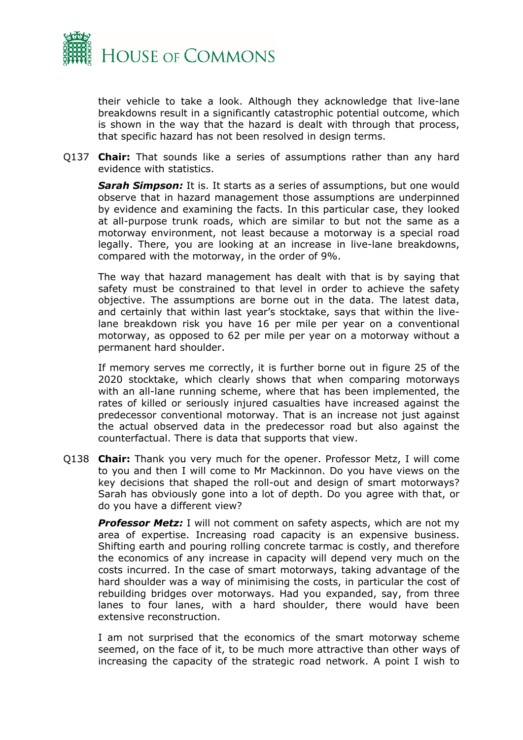

their vehicle to take a look. Although they acknowledge that live-lane breakdowns result in a significantly catastrophic potential outcome, which is shown in the way that the hazard is dealt with through that process, that specific hazard has not been resolved in design terms.

Q137 **Chair:** That sounds like a series of assumptions rather than any hard evidence with statistics.

*Sarah Simpson:* It is. It starts as a series of assumptions, but one would observe that in hazard management those assumptions are underpinned by evidence and examining the facts. In this particular case, they looked at all-purpose trunk roads, which are similar to but not the same as a motorway environment, not least because a motorway is a special road legally. There, you are looking at an increase in live-lane breakdowns, compared with the motorway, in the order of 9%.

The way that hazard management has dealt with that is by saying that safety must be constrained to that level in order to achieve the safety objective. The assumptions are borne out in the data. The latest data, and certainly that within last year's stocktake, says that within the livelane breakdown risk you have 16 per mile per year on a conventional motorway, as opposed to 62 per mile per year on a motorway without a permanent hard shoulder.

If memory serves me correctly, it is further borne out in figure 25 of the 2020 stocktake, which clearly shows that when comparing motorways with an all-lane running scheme, where that has been implemented, the rates of killed or seriously injured casualties have increased against the predecessor conventional motorway. That is an increase not just against the actual observed data in the predecessor road but also against the counterfactual. There is data that supports that view.

Q138 **Chair:** Thank you very much for the opener. Professor Metz, I will come to you and then I will come to Mr Mackinnon. Do you have views on the key decisions that shaped the roll-out and design of smart motorways? Sarah has obviously gone into a lot of depth. Do you agree with that, or do you have a different view?

*Professor Metz:* I will not comment on safety aspects, which are not my area of expertise. Increasing road capacity is an expensive business. Shifting earth and pouring rolling concrete tarmac is costly, and therefore the economics of any increase in capacity will depend very much on the costs incurred. In the case of smart motorways, taking advantage of the hard shoulder was a way of minimising the costs, in particular the cost of rebuilding bridges over motorways. Had you expanded, say, from three lanes to four lanes, with a hard shoulder, there would have been extensive reconstruction.

I am not surprised that the economics of the smart motorway scheme seemed, on the face of it, to be much more attractive than other ways of increasing the capacity of the strategic road network. A point I wish to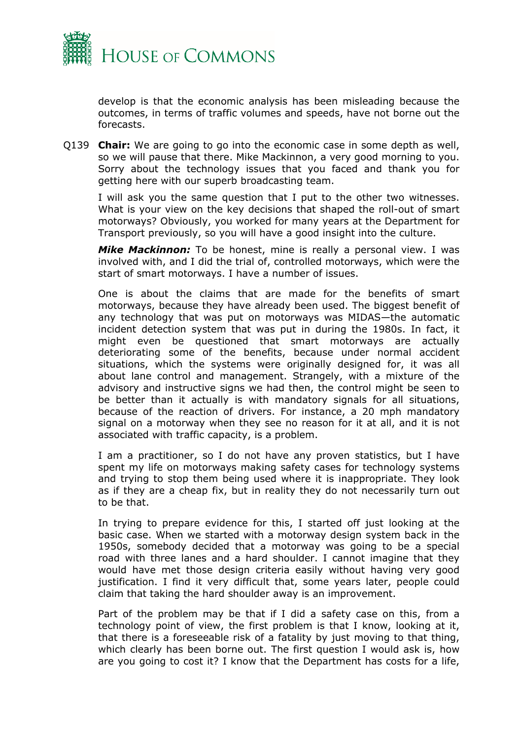

develop is that the economic analysis has been misleading because the outcomes, in terms of traffic volumes and speeds, have not borne out the forecasts.

Q139 **Chair:** We are going to go into the economic case in some depth as well, so we will pause that there. Mike Mackinnon, a very good morning to you. Sorry about the technology issues that you faced and thank you for getting here with our superb broadcasting team.

I will ask you the same question that I put to the other two witnesses. What is your view on the key decisions that shaped the roll-out of smart motorways? Obviously, you worked for many years at the Department for Transport previously, so you will have a good insight into the culture.

*Mike Mackinnon:* To be honest, mine is really a personal view. I was involved with, and I did the trial of, controlled motorways, which were the start of smart motorways. I have a number of issues.

One is about the claims that are made for the benefits of smart motorways, because they have already been used. The biggest benefit of any technology that was put on motorways was MIDAS—the automatic incident detection system that was put in during the 1980s. In fact, it might even be questioned that smart motorways are actually deteriorating some of the benefits, because under normal accident situations, which the systems were originally designed for, it was all about lane control and management. Strangely, with a mixture of the advisory and instructive signs we had then, the control might be seen to be better than it actually is with mandatory signals for all situations, because of the reaction of drivers. For instance, a 20 mph mandatory signal on a motorway when they see no reason for it at all, and it is not associated with traffic capacity, is a problem.

I am a practitioner, so I do not have any proven statistics, but I have spent my life on motorways making safety cases for technology systems and trying to stop them being used where it is inappropriate. They look as if they are a cheap fix, but in reality they do not necessarily turn out to be that.

In trying to prepare evidence for this, I started off just looking at the basic case. When we started with a motorway design system back in the 1950s, somebody decided that a motorway was going to be a special road with three lanes and a hard shoulder. I cannot imagine that they would have met those design criteria easily without having very good justification. I find it very difficult that, some years later, people could claim that taking the hard shoulder away is an improvement.

Part of the problem may be that if I did a safety case on this, from a technology point of view, the first problem is that I know, looking at it, that there is a foreseeable risk of a fatality by just moving to that thing, which clearly has been borne out. The first question I would ask is, how are you going to cost it? I know that the Department has costs for a life,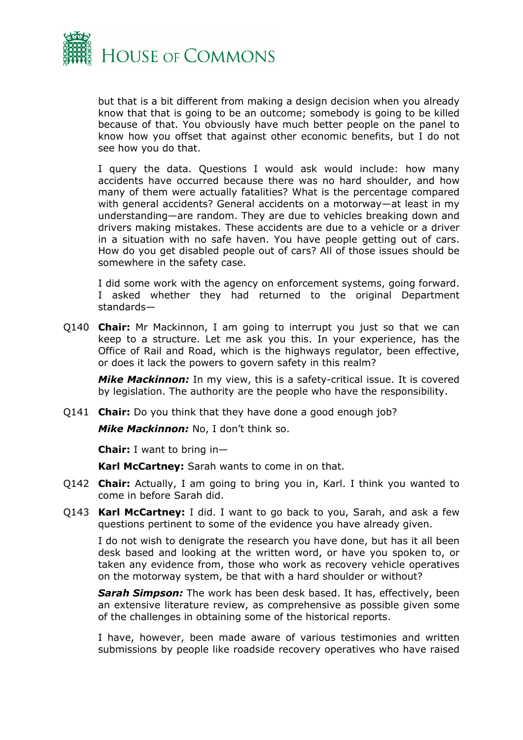

but that is a bit different from making a design decision when you already know that that is going to be an outcome; somebody is going to be killed because of that. You obviously have much better people on the panel to know how you offset that against other economic benefits, but I do not see how you do that.

I query the data. Questions I would ask would include: how many accidents have occurred because there was no hard shoulder, and how many of them were actually fatalities? What is the percentage compared with general accidents? General accidents on a motorway—at least in my understanding—are random. They are due to vehicles breaking down and drivers making mistakes. These accidents are due to a vehicle or a driver in a situation with no safe haven. You have people getting out of cars. How do you get disabled people out of cars? All of those issues should be somewhere in the safety case.

I did some work with the agency on enforcement systems, going forward. I asked whether they had returned to the original Department standards—

Q140 **Chair:** Mr Mackinnon, I am going to interrupt you just so that we can keep to a structure. Let me ask you this. In your experience, has the Office of Rail and Road, which is the highways regulator, been effective, or does it lack the powers to govern safety in this realm?

*Mike Mackinnon:* In my view, this is a safety-critical issue. It is covered by legislation. The authority are the people who have the responsibility.

Q141 **Chair:** Do you think that they have done a good enough job?

*Mike Mackinnon:* No, I don't think so.

**Chair:** I want to bring in—

**Karl McCartney:** Sarah wants to come in on that.

- Q142 **Chair:** Actually, I am going to bring you in, Karl. I think you wanted to come in before Sarah did.
- Q143 **Karl McCartney:** I did. I want to go back to you, Sarah, and ask a few questions pertinent to some of the evidence you have already given.

I do not wish to denigrate the research you have done, but has it all been desk based and looking at the written word, or have you spoken to, or taken any evidence from, those who work as recovery vehicle operatives on the motorway system, be that with a hard shoulder or without?

*Sarah Simpson:* The work has been desk based. It has, effectively, been an extensive literature review, as comprehensive as possible given some of the challenges in obtaining some of the historical reports.

I have, however, been made aware of various testimonies and written submissions by people like roadside recovery operatives who have raised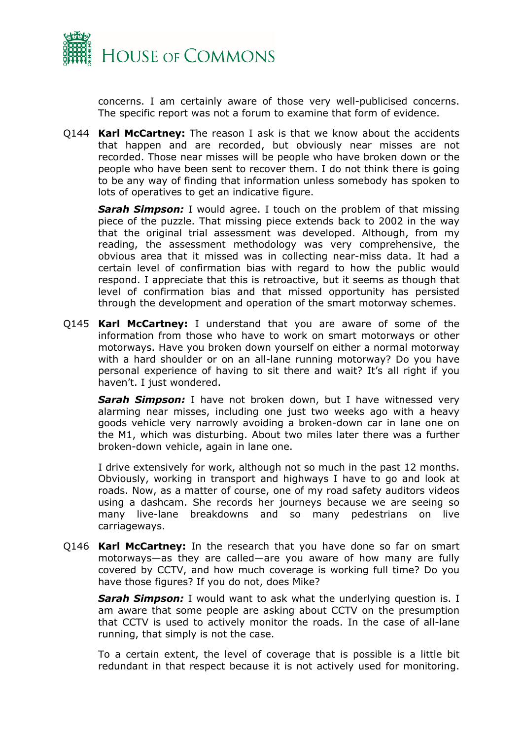

concerns. I am certainly aware of those very well-publicised concerns. The specific report was not a forum to examine that form of evidence.

Q144 **Karl McCartney:** The reason I ask is that we know about the accidents that happen and are recorded, but obviously near misses are not recorded. Those near misses will be people who have broken down or the people who have been sent to recover them. I do not think there is going to be any way of finding that information unless somebody has spoken to lots of operatives to get an indicative figure.

*Sarah Simpson:* I would agree. I touch on the problem of that missing piece of the puzzle. That missing piece extends back to 2002 in the way that the original trial assessment was developed. Although, from my reading, the assessment methodology was very comprehensive, the obvious area that it missed was in collecting near-miss data. It had a certain level of confirmation bias with regard to how the public would respond. I appreciate that this is retroactive, but it seems as though that level of confirmation bias and that missed opportunity has persisted through the development and operation of the smart motorway schemes.

Q145 **Karl McCartney:** I understand that you are aware of some of the information from those who have to work on smart motorways or other motorways. Have you broken down yourself on either a normal motorway with a hard shoulder or on an all-lane running motorway? Do you have personal experience of having to sit there and wait? It's all right if you haven't. I just wondered.

*Sarah Simpson:* I have not broken down, but I have witnessed very alarming near misses, including one just two weeks ago with a heavy goods vehicle very narrowly avoiding a broken-down car in lane one on the M1, which was disturbing. About two miles later there was a further broken-down vehicle, again in lane one.

I drive extensively for work, although not so much in the past 12 months. Obviously, working in transport and highways I have to go and look at roads. Now, as a matter of course, one of my road safety auditors videos using a dashcam. She records her journeys because we are seeing so many live-lane breakdowns and so many pedestrians on live carriageways.

Q146 **Karl McCartney:** In the research that you have done so far on smart motorways—as they are called—are you aware of how many are fully covered by CCTV, and how much coverage is working full time? Do you have those figures? If you do not, does Mike?

*Sarah Simpson:* I would want to ask what the underlying question is. I am aware that some people are asking about CCTV on the presumption that CCTV is used to actively monitor the roads. In the case of all-lane running, that simply is not the case.

To a certain extent, the level of coverage that is possible is a little bit redundant in that respect because it is not actively used for monitoring.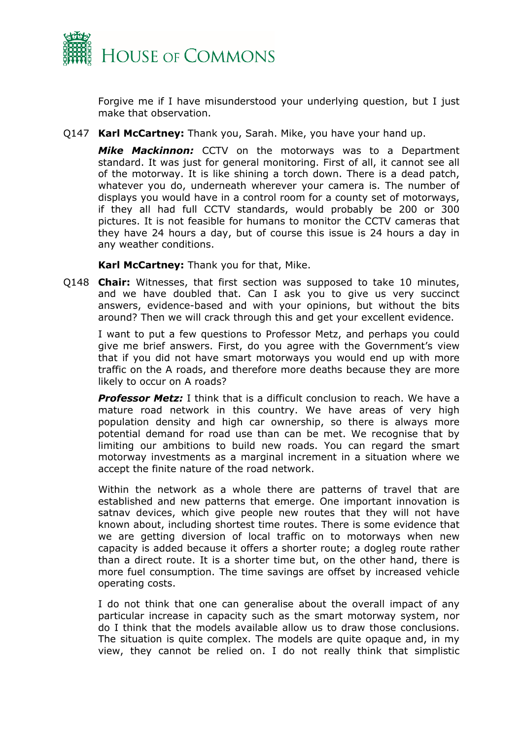

Forgive me if I have misunderstood your underlying question, but I just make that observation.

Q147 **Karl McCartney:** Thank you, Sarah. Mike, you have your hand up.

*Mike Mackinnon:* CCTV on the motorways was to a Department standard. It was just for general monitoring. First of all, it cannot see all of the motorway. It is like shining a torch down. There is a dead patch, whatever you do, underneath wherever your camera is. The number of displays you would have in a control room for a county set of motorways, if they all had full CCTV standards, would probably be 200 or 300 pictures. It is not feasible for humans to monitor the CCTV cameras that they have 24 hours a day, but of course this issue is 24 hours a day in any weather conditions.

**Karl McCartney:** Thank you for that, Mike.

Q148 **Chair:** Witnesses, that first section was supposed to take 10 minutes, and we have doubled that. Can I ask you to give us very succinct answers, evidence-based and with your opinions, but without the bits around? Then we will crack through this and get your excellent evidence.

I want to put a few questions to Professor Metz, and perhaps you could give me brief answers. First, do you agree with the Government's view that if you did not have smart motorways you would end up with more traffic on the A roads, and therefore more deaths because they are more likely to occur on A roads?

*Professor Metz:* I think that is a difficult conclusion to reach. We have a mature road network in this country. We have areas of very high population density and high car ownership, so there is always more potential demand for road use than can be met. We recognise that by limiting our ambitions to build new roads. You can regard the smart motorway investments as a marginal increment in a situation where we accept the finite nature of the road network.

Within the network as a whole there are patterns of travel that are established and new patterns that emerge. One important innovation is satnav devices, which give people new routes that they will not have known about, including shortest time routes. There is some evidence that we are getting diversion of local traffic on to motorways when new capacity is added because it offers a shorter route; a dogleg route rather than a direct route. It is a shorter time but, on the other hand, there is more fuel consumption. The time savings are offset by increased vehicle operating costs.

I do not think that one can generalise about the overall impact of any particular increase in capacity such as the smart motorway system, nor do I think that the models available allow us to draw those conclusions. The situation is quite complex. The models are quite opaque and, in my view, they cannot be relied on. I do not really think that simplistic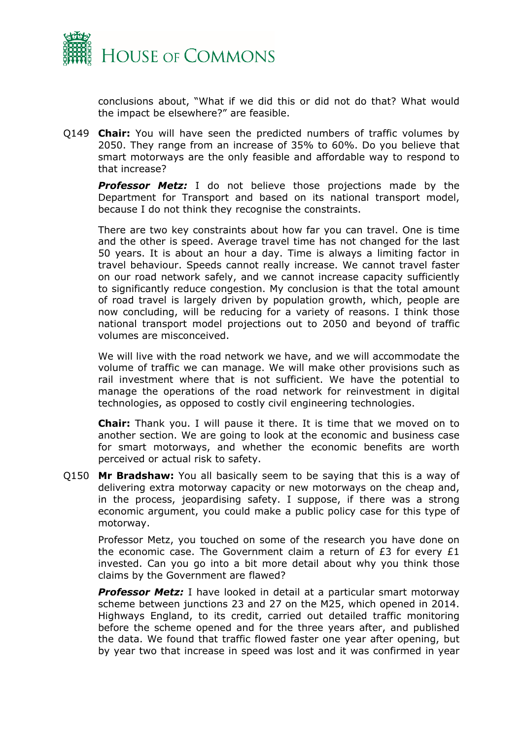

conclusions about, "What if we did this or did not do that? What would the impact be elsewhere?" are feasible.

Q149 **Chair:** You will have seen the predicted numbers of traffic volumes by 2050. They range from an increase of 35% to 60%. Do you believe that smart motorways are the only feasible and affordable way to respond to that increase?

**Professor Metz:** I do not believe those projections made by the Department for Transport and based on its national transport model, because I do not think they recognise the constraints.

There are two key constraints about how far you can travel. One is time and the other is speed. Average travel time has not changed for the last 50 years. It is about an hour a day. Time is always a limiting factor in travel behaviour. Speeds cannot really increase. We cannot travel faster on our road network safely, and we cannot increase capacity sufficiently to significantly reduce congestion. My conclusion is that the total amount of road travel is largely driven by population growth, which, people are now concluding, will be reducing for a variety of reasons. I think those national transport model projections out to 2050 and beyond of traffic volumes are misconceived.

We will live with the road network we have, and we will accommodate the volume of traffic we can manage. We will make other provisions such as rail investment where that is not sufficient. We have the potential to manage the operations of the road network for reinvestment in digital technologies, as opposed to costly civil engineering technologies.

**Chair:** Thank you. I will pause it there. It is time that we moved on to another section. We are going to look at the economic and business case for smart motorways, and whether the economic benefits are worth perceived or actual risk to safety.

Q150 **Mr Bradshaw:** You all basically seem to be saying that this is a way of delivering extra motorway capacity or new motorways on the cheap and, in the process, jeopardising safety. I suppose, if there was a strong economic argument, you could make a public policy case for this type of motorway.

Professor Metz, you touched on some of the research you have done on the economic case. The Government claim a return of  $E3$  for every  $E1$ invested. Can you go into a bit more detail about why you think those claims by the Government are flawed?

*Professor Metz:* I have looked in detail at a particular smart motorway scheme between junctions 23 and 27 on the M25, which opened in 2014. Highways England, to its credit, carried out detailed traffic monitoring before the scheme opened and for the three years after, and published the data. We found that traffic flowed faster one year after opening, but by year two that increase in speed was lost and it was confirmed in year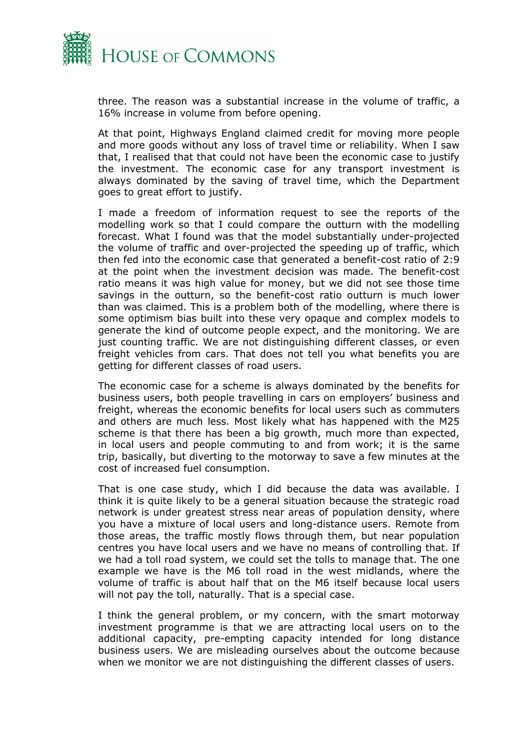

three. The reason was a substantial increase in the volume of traffic, a 16% increase in volume from before opening.

At that point, Highways England claimed credit for moving more people and more goods without any loss of travel time or reliability. When I saw that, I realised that that could not have been the economic case to justify the investment. The economic case for any transport investment is always dominated by the saving of travel time, which the Department goes to great effort to justify.

I made a freedom of information request to see the reports of the modelling work so that I could compare the outturn with the modelling forecast. What I found was that the model substantially under-projected the volume of traffic and over-projected the speeding up of traffic, which then fed into the economic case that generated a benefit-cost ratio of 2:9 at the point when the investment decision was made. The benefit-cost ratio means it was high value for money, but we did not see those time savings in the outturn, so the benefit-cost ratio outturn is much lower than was claimed. This is a problem both of the modelling, where there is some optimism bias built into these very opaque and complex models to generate the kind of outcome people expect, and the monitoring. We are just counting traffic. We are not distinguishing different classes, or even freight vehicles from cars. That does not tell you what benefits you are getting for different classes of road users.

The economic case for a scheme is always dominated by the benefits for business users, both people travelling in cars on employers' business and freight, whereas the economic benefits for local users such as commuters and others are much less. Most likely what has happened with the M25 scheme is that there has been a big growth, much more than expected, in local users and people commuting to and from work; it is the same trip, basically, but diverting to the motorway to save a few minutes at the cost of increased fuel consumption.

That is one case study, which I did because the data was available. I think it is quite likely to be a general situation because the strategic road network is under greatest stress near areas of population density, where you have a mixture of local users and long-distance users. Remote from those areas, the traffic mostly flows through them, but near population centres you have local users and we have no means of controlling that. If we had a toll road system, we could set the tolls to manage that. The one example we have is the M6 toll road in the west midlands, where the volume of traffic is about half that on the M6 itself because local users will not pay the toll, naturally. That is a special case.

I think the general problem, or my concern, with the smart motorway investment programme is that we are attracting local users on to the additional capacity, pre-empting capacity intended for long distance business users. We are misleading ourselves about the outcome because when we monitor we are not distinguishing the different classes of users.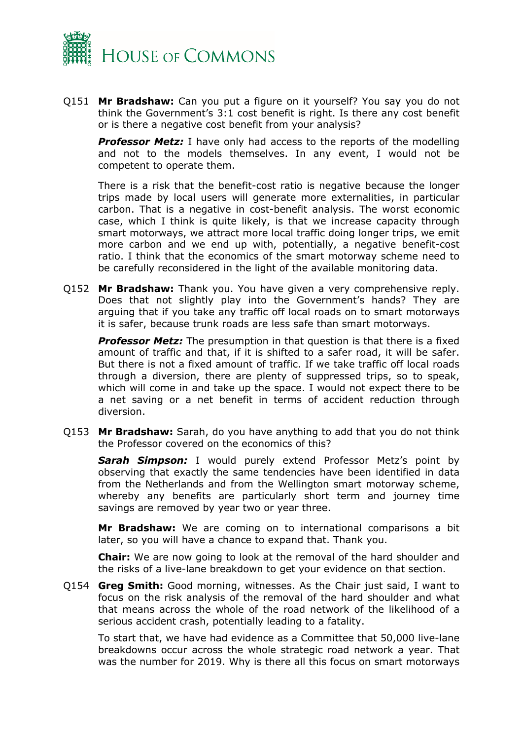

Q151 **Mr Bradshaw:** Can you put a figure on it yourself? You say you do not think the Government's 3:1 cost benefit is right. Is there any cost benefit or is there a negative cost benefit from your analysis?

*Professor Metz:* I have only had access to the reports of the modelling and not to the models themselves. In any event, I would not be competent to operate them.

There is a risk that the benefit-cost ratio is negative because the longer trips made by local users will generate more externalities, in particular carbon. That is a negative in cost-benefit analysis. The worst economic case, which I think is quite likely, is that we increase capacity through smart motorways, we attract more local traffic doing longer trips, we emit more carbon and we end up with, potentially, a negative benefit-cost ratio. I think that the economics of the smart motorway scheme need to be carefully reconsidered in the light of the available monitoring data.

Q152 **Mr Bradshaw:** Thank you. You have given a very comprehensive reply. Does that not slightly play into the Government's hands? They are arguing that if you take any traffic off local roads on to smart motorways it is safer, because trunk roads are less safe than smart motorways.

*Professor Metz:* The presumption in that question is that there is a fixed amount of traffic and that, if it is shifted to a safer road, it will be safer. But there is not a fixed amount of traffic. If we take traffic off local roads through a diversion, there are plenty of suppressed trips, so to speak, which will come in and take up the space. I would not expect there to be a net saving or a net benefit in terms of accident reduction through diversion.

Q153 **Mr Bradshaw:** Sarah, do you have anything to add that you do not think the Professor covered on the economics of this?

*Sarah Simpson:* I would purely extend Professor Metz's point by observing that exactly the same tendencies have been identified in data from the Netherlands and from the Wellington smart motorway scheme, whereby any benefits are particularly short term and journey time savings are removed by year two or year three.

**Mr Bradshaw:** We are coming on to international comparisons a bit later, so you will have a chance to expand that. Thank you.

**Chair:** We are now going to look at the removal of the hard shoulder and the risks of a live-lane breakdown to get your evidence on that section.

Q154 **Greg Smith:** Good morning, witnesses. As the Chair just said, I want to focus on the risk analysis of the removal of the hard shoulder and what that means across the whole of the road network of the likelihood of a serious accident crash, potentially leading to a fatality.

To start that, we have had evidence as a Committee that 50,000 live-lane breakdowns occur across the whole strategic road network a year. That was the number for 2019. Why is there all this focus on smart motorways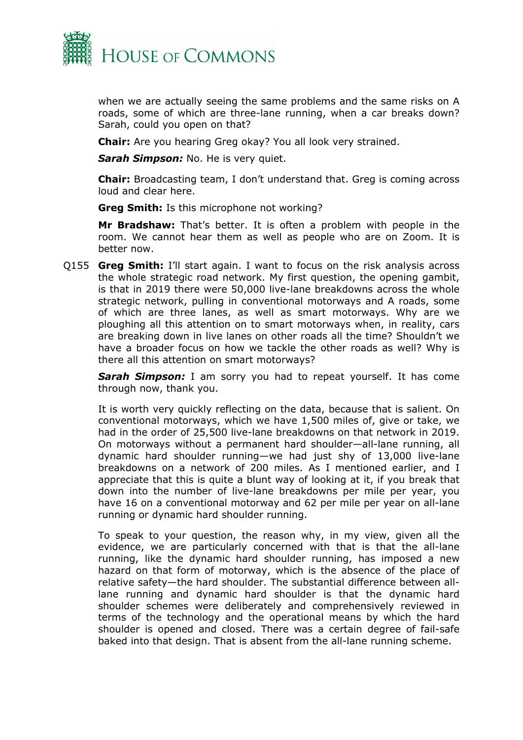

when we are actually seeing the same problems and the same risks on A roads, some of which are three-lane running, when a car breaks down? Sarah, could you open on that?

**Chair:** Are you hearing Greg okay? You all look very strained.

*Sarah Simpson:* No. He is very quiet.

**Chair:** Broadcasting team, I don't understand that. Greg is coming across loud and clear here.

**Greg Smith:** Is this microphone not working?

**Mr Bradshaw:** That's better. It is often a problem with people in the room. We cannot hear them as well as people who are on Zoom. It is better now.

Q155 **Greg Smith:** I'll start again. I want to focus on the risk analysis across the whole strategic road network. My first question, the opening gambit, is that in 2019 there were 50,000 live-lane breakdowns across the whole strategic network, pulling in conventional motorways and A roads, some of which are three lanes, as well as smart motorways. Why are we ploughing all this attention on to smart motorways when, in reality, cars are breaking down in live lanes on other roads all the time? Shouldn't we have a broader focus on how we tackle the other roads as well? Why is there all this attention on smart motorways?

*Sarah Simpson:* I am sorry you had to repeat yourself. It has come through now, thank you.

It is worth very quickly reflecting on the data, because that is salient. On conventional motorways, which we have 1,500 miles of, give or take, we had in the order of 25,500 live-lane breakdowns on that network in 2019. On motorways without a permanent hard shoulder—all-lane running, all dynamic hard shoulder running—we had just shy of 13,000 live-lane breakdowns on a network of 200 miles. As I mentioned earlier, and I appreciate that this is quite a blunt way of looking at it, if you break that down into the number of live-lane breakdowns per mile per year, you have 16 on a conventional motorway and 62 per mile per year on all-lane running or dynamic hard shoulder running.

To speak to your question, the reason why, in my view, given all the evidence, we are particularly concerned with that is that the all-lane running, like the dynamic hard shoulder running, has imposed a new hazard on that form of motorway, which is the absence of the place of relative safety—the hard shoulder. The substantial difference between alllane running and dynamic hard shoulder is that the dynamic hard shoulder schemes were deliberately and comprehensively reviewed in terms of the technology and the operational means by which the hard shoulder is opened and closed. There was a certain degree of fail-safe baked into that design. That is absent from the all-lane running scheme.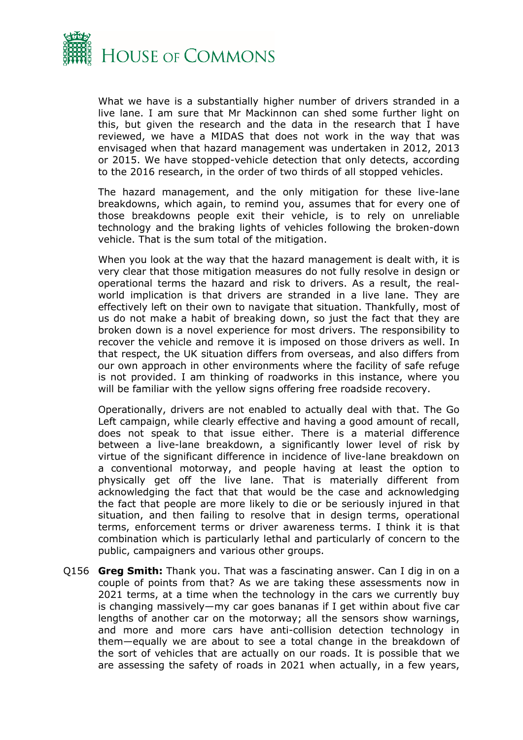

What we have is a substantially higher number of drivers stranded in a live lane. I am sure that Mr Mackinnon can shed some further light on this, but given the research and the data in the research that I have reviewed, we have a MIDAS that does not work in the way that was envisaged when that hazard management was undertaken in 2012, 2013 or 2015. We have stopped-vehicle detection that only detects, according to the 2016 research, in the order of two thirds of all stopped vehicles.

The hazard management, and the only mitigation for these live-lane breakdowns, which again, to remind you, assumes that for every one of those breakdowns people exit their vehicle, is to rely on unreliable technology and the braking lights of vehicles following the broken-down vehicle. That is the sum total of the mitigation.

When you look at the way that the hazard management is dealt with, it is very clear that those mitigation measures do not fully resolve in design or operational terms the hazard and risk to drivers. As a result, the realworld implication is that drivers are stranded in a live lane. They are effectively left on their own to navigate that situation. Thankfully, most of us do not make a habit of breaking down, so just the fact that they are broken down is a novel experience for most drivers. The responsibility to recover the vehicle and remove it is imposed on those drivers as well. In that respect, the UK situation differs from overseas, and also differs from our own approach in other environments where the facility of safe refuge is not provided. I am thinking of roadworks in this instance, where you will be familiar with the yellow signs offering free roadside recovery.

Operationally, drivers are not enabled to actually deal with that. The Go Left campaign, while clearly effective and having a good amount of recall, does not speak to that issue either. There is a material difference between a live-lane breakdown, a significantly lower level of risk by virtue of the significant difference in incidence of live-lane breakdown on a conventional motorway, and people having at least the option to physically get off the live lane. That is materially different from acknowledging the fact that that would be the case and acknowledging the fact that people are more likely to die or be seriously injured in that situation, and then failing to resolve that in design terms, operational terms, enforcement terms or driver awareness terms. I think it is that combination which is particularly lethal and particularly of concern to the public, campaigners and various other groups.

Q156 **Greg Smith:** Thank you. That was a fascinating answer. Can I dig in on a couple of points from that? As we are taking these assessments now in 2021 terms, at a time when the technology in the cars we currently buy is changing massively—my car goes bananas if I get within about five car lengths of another car on the motorway; all the sensors show warnings, and more and more cars have anti-collision detection technology in them—equally we are about to see a total change in the breakdown of the sort of vehicles that are actually on our roads. It is possible that we are assessing the safety of roads in 2021 when actually, in a few years,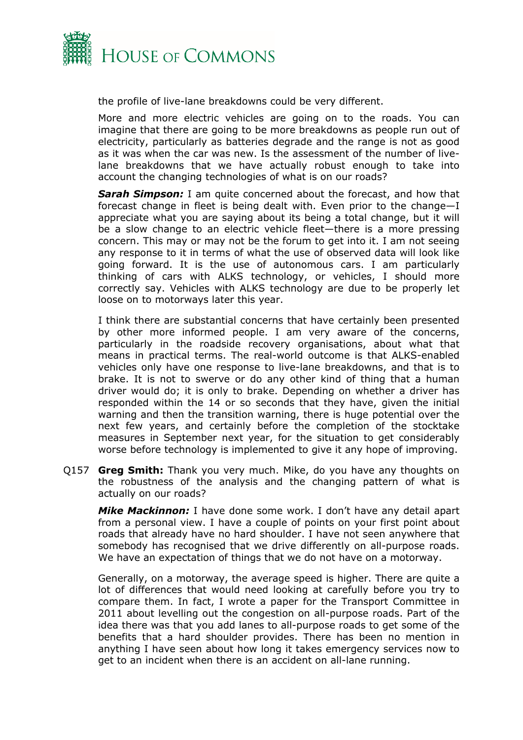

the profile of live-lane breakdowns could be very different.

More and more electric vehicles are going on to the roads. You can imagine that there are going to be more breakdowns as people run out of electricity, particularly as batteries degrade and the range is not as good as it was when the car was new. Is the assessment of the number of livelane breakdowns that we have actually robust enough to take into account the changing technologies of what is on our roads?

*Sarah Simpson:* I am quite concerned about the forecast, and how that forecast change in fleet is being dealt with. Even prior to the change—I appreciate what you are saying about its being a total change, but it will be a slow change to an electric vehicle fleet—there is a more pressing concern. This may or may not be the forum to get into it. I am not seeing any response to it in terms of what the use of observed data will look like going forward. It is the use of autonomous cars. I am particularly thinking of cars with ALKS technology, or vehicles, I should more correctly say. Vehicles with ALKS technology are due to be properly let loose on to motorways later this year.

I think there are substantial concerns that have certainly been presented by other more informed people. I am very aware of the concerns, particularly in the roadside recovery organisations, about what that means in practical terms. The real-world outcome is that ALKS-enabled vehicles only have one response to live-lane breakdowns, and that is to brake. It is not to swerve or do any other kind of thing that a human driver would do; it is only to brake. Depending on whether a driver has responded within the 14 or so seconds that they have, given the initial warning and then the transition warning, there is huge potential over the next few years, and certainly before the completion of the stocktake measures in September next year, for the situation to get considerably worse before technology is implemented to give it any hope of improving.

Q157 **Greg Smith:** Thank you very much. Mike, do you have any thoughts on the robustness of the analysis and the changing pattern of what is actually on our roads?

*Mike Mackinnon:* I have done some work. I don't have any detail apart from a personal view. I have a couple of points on your first point about roads that already have no hard shoulder. I have not seen anywhere that somebody has recognised that we drive differently on all-purpose roads. We have an expectation of things that we do not have on a motorway.

Generally, on a motorway, the average speed is higher. There are quite a lot of differences that would need looking at carefully before you try to compare them. In fact, I wrote a paper for the Transport Committee in 2011 about levelling out the congestion on all-purpose roads. Part of the idea there was that you add lanes to all-purpose roads to get some of the benefits that a hard shoulder provides. There has been no mention in anything I have seen about how long it takes emergency services now to get to an incident when there is an accident on all-lane running.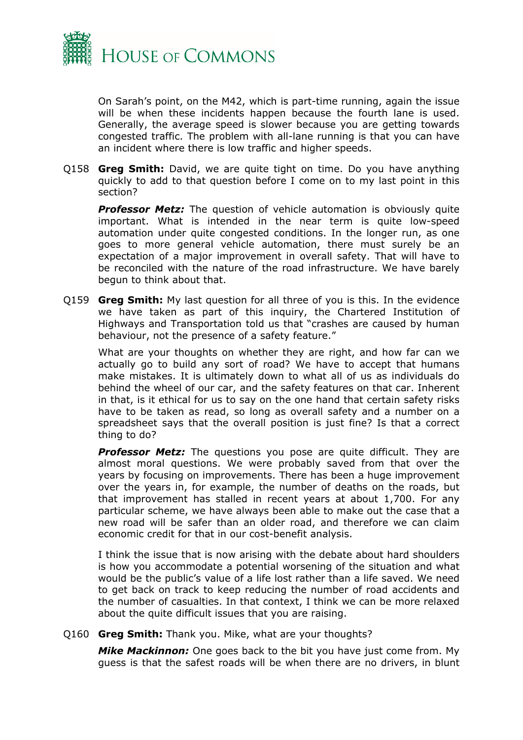

On Sarah's point, on the M42, which is part-time running, again the issue will be when these incidents happen because the fourth lane is used. Generally, the average speed is slower because you are getting towards congested traffic. The problem with all-lane running is that you can have an incident where there is low traffic and higher speeds.

Q158 **Greg Smith:** David, we are quite tight on time. Do you have anything quickly to add to that question before I come on to my last point in this section?

*Professor Metz:* The question of vehicle automation is obviously quite important. What is intended in the near term is quite low-speed automation under quite congested conditions. In the longer run, as one goes to more general vehicle automation, there must surely be an expectation of a major improvement in overall safety. That will have to be reconciled with the nature of the road infrastructure. We have barely begun to think about that.

Q159 **Greg Smith:** My last question for all three of you is this. In the evidence we have taken as part of this inquiry, the Chartered Institution of Highways and Transportation told us that "crashes are caused by human behaviour, not the presence of a safety feature."

What are your thoughts on whether they are right, and how far can we actually go to build any sort of road? We have to accept that humans make mistakes. It is ultimately down to what all of us as individuals do behind the wheel of our car, and the safety features on that car. Inherent in that, is it ethical for us to say on the one hand that certain safety risks have to be taken as read, so long as overall safety and a number on a spreadsheet says that the overall position is just fine? Is that a correct thing to do?

**Professor Metz:** The questions you pose are quite difficult. They are almost moral questions. We were probably saved from that over the years by focusing on improvements. There has been a huge improvement over the years in, for example, the number of deaths on the roads, but that improvement has stalled in recent years at about 1,700. For any particular scheme, we have always been able to make out the case that a new road will be safer than an older road, and therefore we can claim economic credit for that in our cost-benefit analysis.

I think the issue that is now arising with the debate about hard shoulders is how you accommodate a potential worsening of the situation and what would be the public's value of a life lost rather than a life saved. We need to get back on track to keep reducing the number of road accidents and the number of casualties. In that context, I think we can be more relaxed about the quite difficult issues that you are raising.

Q160 **Greg Smith:** Thank you. Mike, what are your thoughts?

*Mike Mackinnon:* One goes back to the bit you have just come from. My guess is that the safest roads will be when there are no drivers, in blunt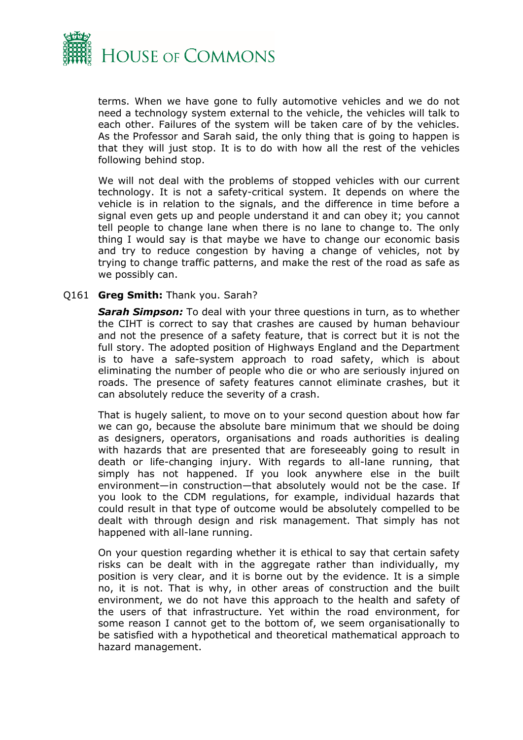

terms. When we have gone to fully automotive vehicles and we do not need a technology system external to the vehicle, the vehicles will talk to each other. Failures of the system will be taken care of by the vehicles. As the Professor and Sarah said, the only thing that is going to happen is that they will just stop. It is to do with how all the rest of the vehicles following behind stop.

We will not deal with the problems of stopped vehicles with our current technology. It is not a safety-critical system. It depends on where the vehicle is in relation to the signals, and the difference in time before a signal even gets up and people understand it and can obey it; you cannot tell people to change lane when there is no lane to change to. The only thing I would say is that maybe we have to change our economic basis and try to reduce congestion by having a change of vehicles, not by trying to change traffic patterns, and make the rest of the road as safe as we possibly can.

#### Q161 **Greg Smith:** Thank you. Sarah?

*Sarah Simpson:* To deal with your three questions in turn, as to whether the CIHT is correct to say that crashes are caused by human behaviour and not the presence of a safety feature, that is correct but it is not the full story. The adopted position of Highways England and the Department is to have a safe-system approach to road safety, which is about eliminating the number of people who die or who are seriously injured on roads. The presence of safety features cannot eliminate crashes, but it can absolutely reduce the severity of a crash.

That is hugely salient, to move on to your second question about how far we can go, because the absolute bare minimum that we should be doing as designers, operators, organisations and roads authorities is dealing with hazards that are presented that are foreseeably going to result in death or life-changing injury. With regards to all-lane running, that simply has not happened. If you look anywhere else in the built environment—in construction—that absolutely would not be the case. If you look to the CDM regulations, for example, individual hazards that could result in that type of outcome would be absolutely compelled to be dealt with through design and risk management. That simply has not happened with all-lane running.

On your question regarding whether it is ethical to say that certain safety risks can be dealt with in the aggregate rather than individually, my position is very clear, and it is borne out by the evidence. It is a simple no, it is not. That is why, in other areas of construction and the built environment, we do not have this approach to the health and safety of the users of that infrastructure. Yet within the road environment, for some reason I cannot get to the bottom of, we seem organisationally to be satisfied with a hypothetical and theoretical mathematical approach to hazard management.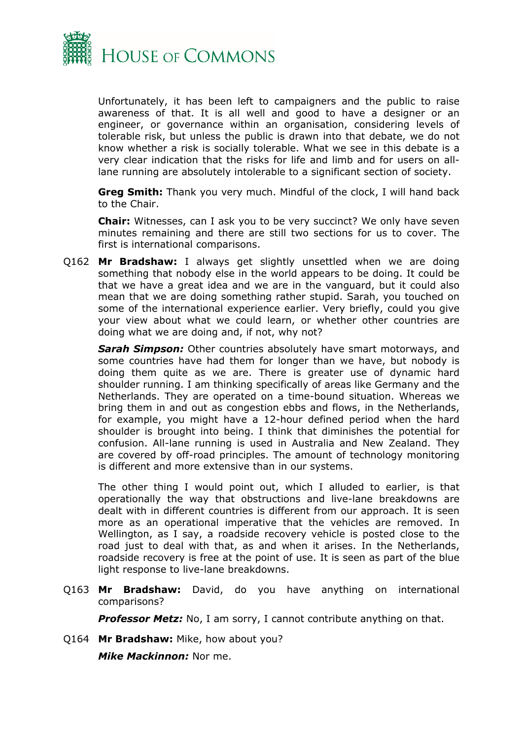

Unfortunately, it has been left to campaigners and the public to raise awareness of that. It is all well and good to have a designer or an engineer, or governance within an organisation, considering levels of tolerable risk, but unless the public is drawn into that debate, we do not know whether a risk is socially tolerable. What we see in this debate is a very clear indication that the risks for life and limb and for users on alllane running are absolutely intolerable to a significant section of society.

**Greg Smith:** Thank you very much. Mindful of the clock, I will hand back to the Chair.

**Chair:** Witnesses, can I ask you to be very succinct? We only have seven minutes remaining and there are still two sections for us to cover. The first is international comparisons.

Q162 **Mr Bradshaw:** I always get slightly unsettled when we are doing something that nobody else in the world appears to be doing. It could be that we have a great idea and we are in the vanguard, but it could also mean that we are doing something rather stupid. Sarah, you touched on some of the international experience earlier. Very briefly, could you give your view about what we could learn, or whether other countries are doing what we are doing and, if not, why not?

*Sarah Simpson:* Other countries absolutely have smart motorways, and some countries have had them for longer than we have, but nobody is doing them quite as we are. There is greater use of dynamic hard shoulder running. I am thinking specifically of areas like Germany and the Netherlands. They are operated on a time-bound situation. Whereas we bring them in and out as congestion ebbs and flows, in the Netherlands, for example, you might have a 12-hour defined period when the hard shoulder is brought into being. I think that diminishes the potential for confusion. All-lane running is used in Australia and New Zealand. They are covered by off-road principles. The amount of technology monitoring is different and more extensive than in our systems.

The other thing I would point out, which I alluded to earlier, is that operationally the way that obstructions and live-lane breakdowns are dealt with in different countries is different from our approach. It is seen more as an operational imperative that the vehicles are removed. In Wellington, as I say, a roadside recovery vehicle is posted close to the road just to deal with that, as and when it arises. In the Netherlands, roadside recovery is free at the point of use. It is seen as part of the blue light response to live-lane breakdowns.

Q163 **Mr Bradshaw:** David, do you have anything on international comparisons?

*Professor Metz:* No, I am sorry, I cannot contribute anything on that.

Q164 **Mr Bradshaw:** Mike, how about you?

*Mike Mackinnon:* Nor me.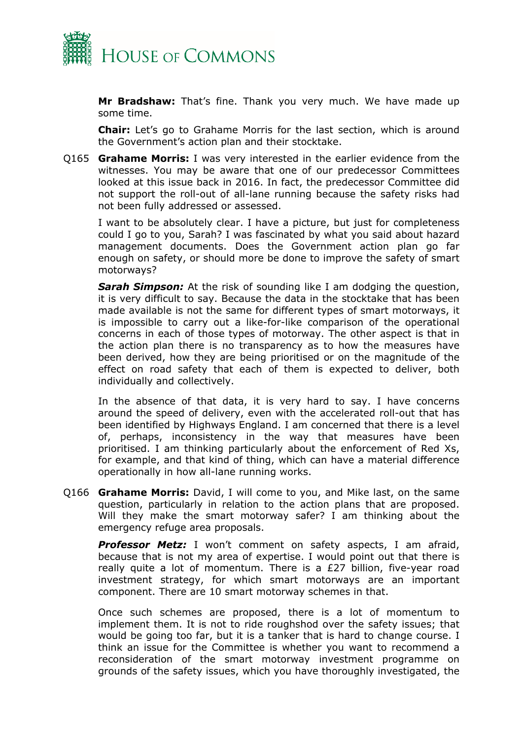

**Mr Bradshaw:** That's fine. Thank you very much. We have made up some time.

**Chair:** Let's go to Grahame Morris for the last section, which is around the Government's action plan and their stocktake.

Q165 **Grahame Morris:** I was very interested in the earlier evidence from the witnesses. You may be aware that one of our predecessor Committees looked at this issue back in 2016. In fact, the predecessor Committee did not support the roll-out of all-lane running because the safety risks had not been fully addressed or assessed.

I want to be absolutely clear. I have a picture, but just for completeness could I go to you, Sarah? I was fascinated by what you said about hazard management documents. Does the Government action plan go far enough on safety, or should more be done to improve the safety of smart motorways?

*Sarah Simpson:* At the risk of sounding like I am dodging the question, it is very difficult to say. Because the data in the stocktake that has been made available is not the same for different types of smart motorways, it is impossible to carry out a like-for-like comparison of the operational concerns in each of those types of motorway. The other aspect is that in the action plan there is no transparency as to how the measures have been derived, how they are being prioritised or on the magnitude of the effect on road safety that each of them is expected to deliver, both individually and collectively.

In the absence of that data, it is very hard to say. I have concerns around the speed of delivery, even with the accelerated roll-out that has been identified by Highways England. I am concerned that there is a level of, perhaps, inconsistency in the way that measures have been prioritised. I am thinking particularly about the enforcement of Red Xs, for example, and that kind of thing, which can have a material difference operationally in how all-lane running works.

Q166 **Grahame Morris:** David, I will come to you, and Mike last, on the same question, particularly in relation to the action plans that are proposed. Will they make the smart motorway safer? I am thinking about the emergency refuge area proposals.

*Professor Metz:* I won't comment on safety aspects, I am afraid, because that is not my area of expertise. I would point out that there is really quite a lot of momentum. There is a £27 billion, five-year road investment strategy, for which smart motorways are an important component. There are 10 smart motorway schemes in that.

Once such schemes are proposed, there is a lot of momentum to implement them. It is not to ride roughshod over the safety issues; that would be going too far, but it is a tanker that is hard to change course. I think an issue for the Committee is whether you want to recommend a reconsideration of the smart motorway investment programme on grounds of the safety issues, which you have thoroughly investigated, the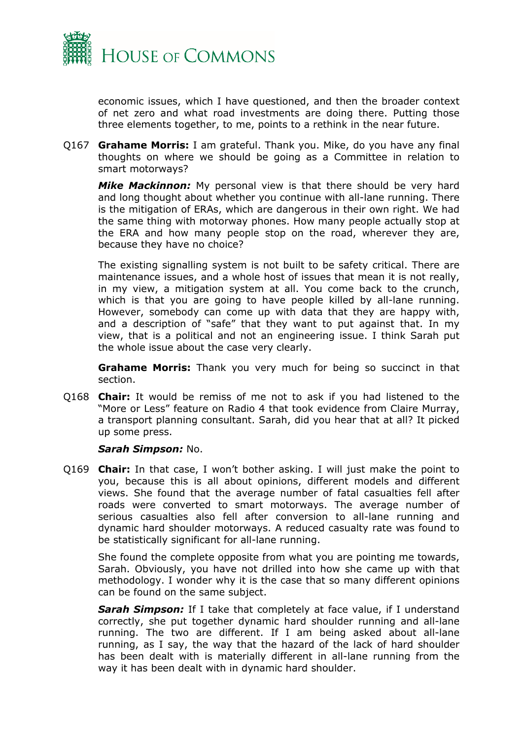

economic issues, which I have questioned, and then the broader context of net zero and what road investments are doing there. Putting those three elements together, to me, points to a rethink in the near future.

Q167 **Grahame Morris:** I am grateful. Thank you. Mike, do you have any final thoughts on where we should be going as a Committee in relation to smart motorways?

*Mike Mackinnon:* My personal view is that there should be very hard and long thought about whether you continue with all-lane running. There is the mitigation of ERAs, which are dangerous in their own right. We had the same thing with motorway phones. How many people actually stop at the ERA and how many people stop on the road, wherever they are, because they have no choice?

The existing signalling system is not built to be safety critical. There are maintenance issues, and a whole host of issues that mean it is not really, in my view, a mitigation system at all. You come back to the crunch, which is that you are going to have people killed by all-lane running. However, somebody can come up with data that they are happy with, and a description of "safe" that they want to put against that. In my view, that is a political and not an engineering issue. I think Sarah put the whole issue about the case very clearly.

**Grahame Morris:** Thank you very much for being so succinct in that section.

Q168 **Chair:** It would be remiss of me not to ask if you had listened to the "More or Less" feature on Radio 4 that took evidence from Claire Murray, a transport planning consultant. Sarah, did you hear that at all? It picked up some press.

#### *Sarah Simpson:* No.

Q169 **Chair:** In that case, I won't bother asking. I will just make the point to you, because this is all about opinions, different models and different views. She found that the average number of fatal casualties fell after roads were converted to smart motorways. The average number of serious casualties also fell after conversion to all-lane running and dynamic hard shoulder motorways. A reduced casualty rate was found to be statistically significant for all-lane running.

She found the complete opposite from what you are pointing me towards, Sarah. Obviously, you have not drilled into how she came up with that methodology. I wonder why it is the case that so many different opinions can be found on the same subject.

*Sarah Simpson:* If I take that completely at face value, if I understand correctly, she put together dynamic hard shoulder running and all-lane running. The two are different. If I am being asked about all-lane running, as I say, the way that the hazard of the lack of hard shoulder has been dealt with is materially different in all-lane running from the way it has been dealt with in dynamic hard shoulder.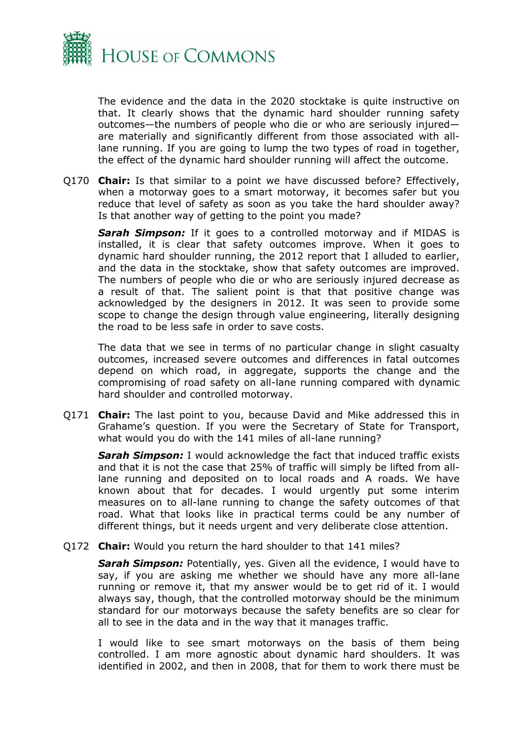

The evidence and the data in the 2020 stocktake is quite instructive on that. It clearly shows that the dynamic hard shoulder running safety outcomes—the numbers of people who die or who are seriously injured are materially and significantly different from those associated with alllane running. If you are going to lump the two types of road in together, the effect of the dynamic hard shoulder running will affect the outcome.

Q170 **Chair:** Is that similar to a point we have discussed before? Effectively, when a motorway goes to a smart motorway, it becomes safer but you reduce that level of safety as soon as you take the hard shoulder away? Is that another way of getting to the point you made?

*Sarah Simpson:* If it goes to a controlled motorway and if MIDAS is installed, it is clear that safety outcomes improve. When it goes to dynamic hard shoulder running, the 2012 report that I alluded to earlier, and the data in the stocktake, show that safety outcomes are improved. The numbers of people who die or who are seriously injured decrease as a result of that. The salient point is that that positive change was acknowledged by the designers in 2012. It was seen to provide some scope to change the design through value engineering, literally designing the road to be less safe in order to save costs.

The data that we see in terms of no particular change in slight casualty outcomes, increased severe outcomes and differences in fatal outcomes depend on which road, in aggregate, supports the change and the compromising of road safety on all-lane running compared with dynamic hard shoulder and controlled motorway.

Q171 **Chair:** The last point to you, because David and Mike addressed this in Grahame's question. If you were the Secretary of State for Transport, what would you do with the 141 miles of all-lane running?

*Sarah Simpson:* I would acknowledge the fact that induced traffic exists and that it is not the case that 25% of traffic will simply be lifted from alllane running and deposited on to local roads and A roads. We have known about that for decades. I would urgently put some interim measures on to all-lane running to change the safety outcomes of that road. What that looks like in practical terms could be any number of different things, but it needs urgent and very deliberate close attention.

#### Q172 **Chair:** Would you return the hard shoulder to that 141 miles?

*Sarah Simpson:* Potentially, yes. Given all the evidence, I would have to say, if you are asking me whether we should have any more all-lane running or remove it, that my answer would be to get rid of it. I would always say, though, that the controlled motorway should be the minimum standard for our motorways because the safety benefits are so clear for all to see in the data and in the way that it manages traffic.

I would like to see smart motorways on the basis of them being controlled. I am more agnostic about dynamic hard shoulders. It was identified in 2002, and then in 2008, that for them to work there must be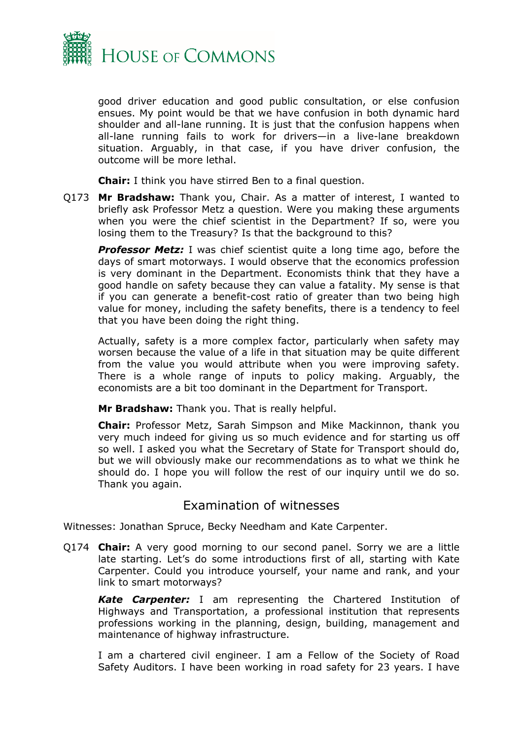

good driver education and good public consultation, or else confusion ensues. My point would be that we have confusion in both dynamic hard shoulder and all-lane running. It is just that the confusion happens when all-lane running fails to work for drivers—in a live-lane breakdown situation. Arguably, in that case, if you have driver confusion, the outcome will be more lethal.

**Chair:** I think you have stirred Ben to a final question.

Q173 **Mr Bradshaw:** Thank you, Chair. As a matter of interest, I wanted to briefly ask Professor Metz a question. Were you making these arguments when you were the chief scientist in the Department? If so, were you losing them to the Treasury? Is that the background to this?

**Professor Metz:** I was chief scientist quite a long time ago, before the days of smart motorways. I would observe that the economics profession is very dominant in the Department. Economists think that they have a good handle on safety because they can value a fatality. My sense is that if you can generate a benefit-cost ratio of greater than two being high value for money, including the safety benefits, there is a tendency to feel that you have been doing the right thing.

Actually, safety is a more complex factor, particularly when safety may worsen because the value of a life in that situation may be quite different from the value you would attribute when you were improving safety. There is a whole range of inputs to policy making. Arguably, the economists are a bit too dominant in the Department for Transport.

**Mr Bradshaw:** Thank you. That is really helpful.

**Chair:** Professor Metz, Sarah Simpson and Mike Mackinnon, thank you very much indeed for giving us so much evidence and for starting us off so well. I asked you what the Secretary of State for Transport should do, but we will obviously make our recommendations as to what we think he should do. I hope you will follow the rest of our inquiry until we do so. Thank you again.

### Examination of witnesses

Witnesses: Jonathan Spruce, Becky Needham and Kate Carpenter.

Q174 **Chair:** A very good morning to our second panel. Sorry we are a little late starting. Let's do some introductions first of all, starting with Kate Carpenter. Could you introduce yourself, your name and rank, and your link to smart motorways?

*Kate Carpenter:* I am representing the Chartered Institution of Highways and Transportation, a professional institution that represents professions working in the planning, design, building, management and maintenance of highway infrastructure.

I am a chartered civil engineer. I am a Fellow of the Society of Road Safety Auditors. I have been working in road safety for 23 years. I have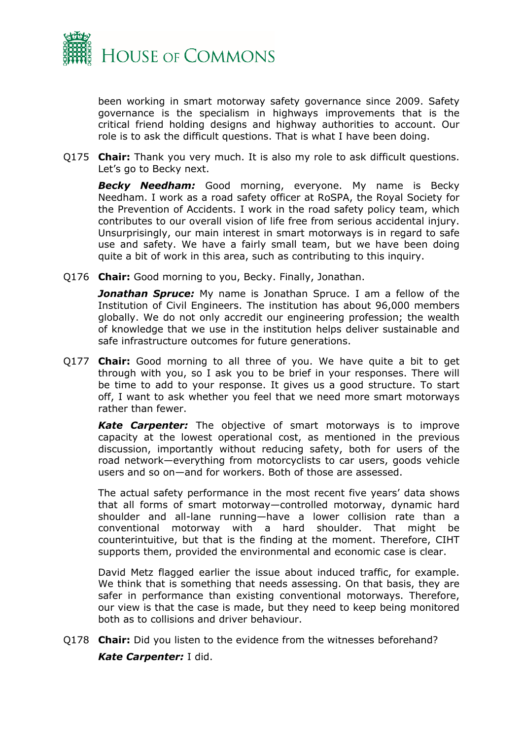

been working in smart motorway safety governance since 2009. Safety governance is the specialism in highways improvements that is the critical friend holding designs and highway authorities to account. Our role is to ask the difficult questions. That is what I have been doing.

Q175 **Chair:** Thank you very much. It is also my role to ask difficult questions. Let's go to Becky next.

*Becky Needham:* Good morning, everyone. My name is Becky Needham. I work as a road safety officer at RoSPA, the Royal Society for the Prevention of Accidents. I work in the road safety policy team, which contributes to our overall vision of life free from serious accidental injury. Unsurprisingly, our main interest in smart motorways is in regard to safe use and safety. We have a fairly small team, but we have been doing quite a bit of work in this area, such as contributing to this inquiry.

Q176 **Chair:** Good morning to you, Becky. Finally, Jonathan.

*Jonathan Spruce:* My name is Jonathan Spruce. I am a fellow of the Institution of Civil Engineers. The institution has about 96,000 members globally. We do not only accredit our engineering profession; the wealth of knowledge that we use in the institution helps deliver sustainable and safe infrastructure outcomes for future generations.

Q177 **Chair:** Good morning to all three of you. We have quite a bit to get through with you, so I ask you to be brief in your responses. There will be time to add to your response. It gives us a good structure. To start off, I want to ask whether you feel that we need more smart motorways rather than fewer.

*Kate Carpenter:* The objective of smart motorways is to improve capacity at the lowest operational cost, as mentioned in the previous discussion, importantly without reducing safety, both for users of the road network—everything from motorcyclists to car users, goods vehicle users and so on—and for workers. Both of those are assessed.

The actual safety performance in the most recent five years' data shows that all forms of smart motorway—controlled motorway, dynamic hard shoulder and all-lane running—have a lower collision rate than a conventional motorway with a hard shoulder. That might be counterintuitive, but that is the finding at the moment. Therefore, CIHT supports them, provided the environmental and economic case is clear.

David Metz flagged earlier the issue about induced traffic, for example. We think that is something that needs assessing. On that basis, they are safer in performance than existing conventional motorways. Therefore, our view is that the case is made, but they need to keep being monitored both as to collisions and driver behaviour.

Q178 **Chair:** Did you listen to the evidence from the witnesses beforehand? *Kate Carpenter:* I did.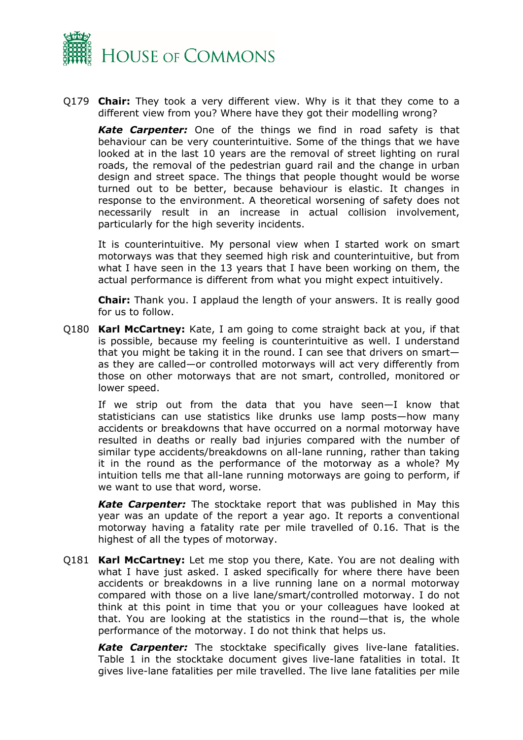

Q179 **Chair:** They took a very different view. Why is it that they come to a different view from you? Where have they got their modelling wrong?

*Kate Carpenter:* One of the things we find in road safety is that behaviour can be very counterintuitive. Some of the things that we have looked at in the last 10 years are the removal of street lighting on rural roads, the removal of the pedestrian guard rail and the change in urban design and street space. The things that people thought would be worse turned out to be better, because behaviour is elastic. It changes in response to the environment. A theoretical worsening of safety does not necessarily result in an increase in actual collision involvement, particularly for the high severity incidents.

It is counterintuitive. My personal view when I started work on smart motorways was that they seemed high risk and counterintuitive, but from what I have seen in the 13 years that I have been working on them, the actual performance is different from what you might expect intuitively.

**Chair:** Thank you. I applaud the length of your answers. It is really good for us to follow.

Q180 **Karl McCartney:** Kate, I am going to come straight back at you, if that is possible, because my feeling is counterintuitive as well. I understand that you might be taking it in the round. I can see that drivers on smart as they are called—or controlled motorways will act very differently from those on other motorways that are not smart, controlled, monitored or lower speed.

If we strip out from the data that you have seen—I know that statisticians can use statistics like drunks use lamp posts—how many accidents or breakdowns that have occurred on a normal motorway have resulted in deaths or really bad injuries compared with the number of similar type accidents/breakdowns on all-lane running, rather than taking it in the round as the performance of the motorway as a whole? My intuition tells me that all-lane running motorways are going to perform, if we want to use that word, worse.

*Kate Carpenter:* The stocktake report that was published in May this year was an update of the report a year ago. It reports a conventional motorway having a fatality rate per mile travelled of 0.16. That is the highest of all the types of motorway.

Q181 **Karl McCartney:** Let me stop you there, Kate. You are not dealing with what I have just asked. I asked specifically for where there have been accidents or breakdowns in a live running lane on a normal motorway compared with those on a live lane/smart/controlled motorway. I do not think at this point in time that you or your colleagues have looked at that. You are looking at the statistics in the round—that is, the whole performance of the motorway. I do not think that helps us.

*Kate Carpenter:* The stocktake specifically gives live-lane fatalities. Table 1 in the stocktake document gives live-lane fatalities in total. It gives live-lane fatalities per mile travelled. The live lane fatalities per mile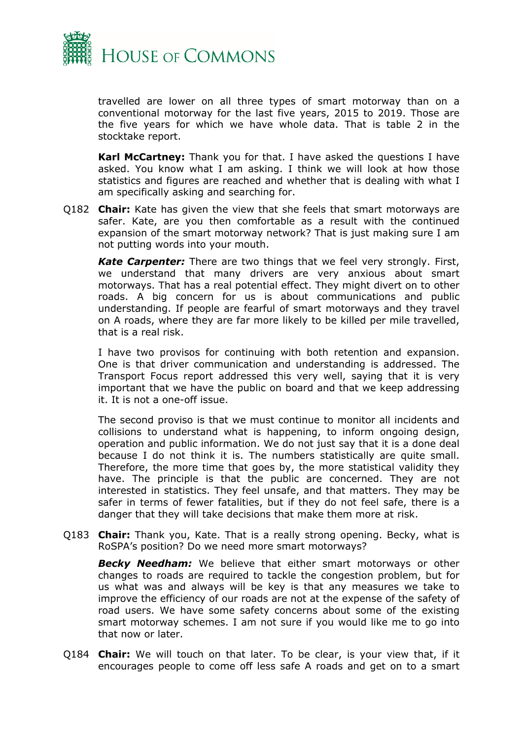

travelled are lower on all three types of smart motorway than on a conventional motorway for the last five years, 2015 to 2019. Those are the five years for which we have whole data. That is table 2 in the stocktake report.

**Karl McCartney:** Thank you for that. I have asked the questions I have asked. You know what I am asking. I think we will look at how those statistics and figures are reached and whether that is dealing with what I am specifically asking and searching for.

Q182 **Chair:** Kate has given the view that she feels that smart motorways are safer. Kate, are you then comfortable as a result with the continued expansion of the smart motorway network? That is just making sure I am not putting words into your mouth.

*Kate Carpenter:* There are two things that we feel very strongly. First, we understand that many drivers are very anxious about smart motorways. That has a real potential effect. They might divert on to other roads. A big concern for us is about communications and public understanding. If people are fearful of smart motorways and they travel on A roads, where they are far more likely to be killed per mile travelled, that is a real risk.

I have two provisos for continuing with both retention and expansion. One is that driver communication and understanding is addressed. The Transport Focus report addressed this very well, saying that it is very important that we have the public on board and that we keep addressing it. It is not a one-off issue.

The second proviso is that we must continue to monitor all incidents and collisions to understand what is happening, to inform ongoing design, operation and public information. We do not just say that it is a done deal because I do not think it is. The numbers statistically are quite small. Therefore, the more time that goes by, the more statistical validity they have. The principle is that the public are concerned. They are not interested in statistics. They feel unsafe, and that matters. They may be safer in terms of fewer fatalities, but if they do not feel safe, there is a danger that they will take decisions that make them more at risk.

Q183 **Chair:** Thank you, Kate. That is a really strong opening. Becky, what is RoSPA's position? Do we need more smart motorways?

*Becky Needham:* We believe that either smart motorways or other changes to roads are required to tackle the congestion problem, but for us what was and always will be key is that any measures we take to improve the efficiency of our roads are not at the expense of the safety of road users. We have some safety concerns about some of the existing smart motorway schemes. I am not sure if you would like me to go into that now or later.

Q184 **Chair:** We will touch on that later. To be clear, is your view that, if it encourages people to come off less safe A roads and get on to a smart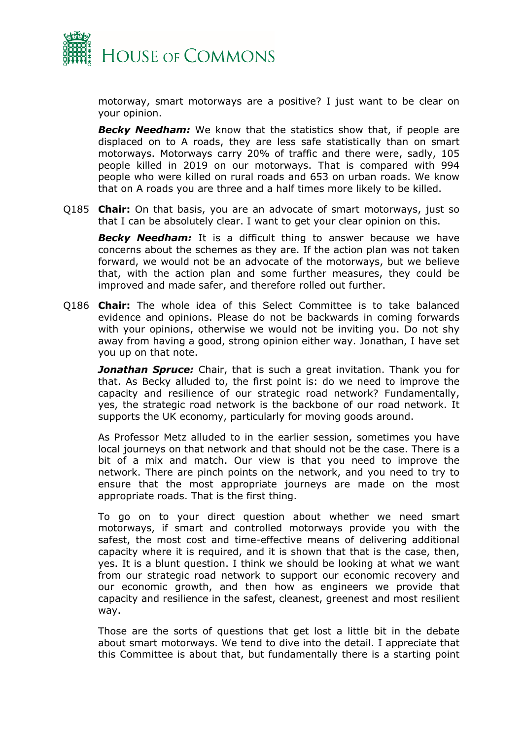

motorway, smart motorways are a positive? I just want to be clear on your opinion.

*Becky Needham:* We know that the statistics show that, if people are displaced on to A roads, they are less safe statistically than on smart motorways. Motorways carry 20% of traffic and there were, sadly, 105 people killed in 2019 on our motorways. That is compared with 994 people who were killed on rural roads and 653 on urban roads. We know that on A roads you are three and a half times more likely to be killed.

Q185 **Chair:** On that basis, you are an advocate of smart motorways, just so that I can be absolutely clear. I want to get your clear opinion on this.

**Becky Needham:** It is a difficult thing to answer because we have concerns about the schemes as they are. If the action plan was not taken forward, we would not be an advocate of the motorways, but we believe that, with the action plan and some further measures, they could be improved and made safer, and therefore rolled out further.

Q186 **Chair:** The whole idea of this Select Committee is to take balanced evidence and opinions. Please do not be backwards in coming forwards with your opinions, otherwise we would not be inviting you. Do not shy away from having a good, strong opinion either way. Jonathan, I have set you up on that note.

*Jonathan Spruce:* Chair, that is such a great invitation. Thank you for that. As Becky alluded to, the first point is: do we need to improve the capacity and resilience of our strategic road network? Fundamentally, yes, the strategic road network is the backbone of our road network. It supports the UK economy, particularly for moving goods around.

As Professor Metz alluded to in the earlier session, sometimes you have local journeys on that network and that should not be the case. There is a bit of a mix and match. Our view is that you need to improve the network. There are pinch points on the network, and you need to try to ensure that the most appropriate journeys are made on the most appropriate roads. That is the first thing.

To go on to your direct question about whether we need smart motorways, if smart and controlled motorways provide you with the safest, the most cost and time-effective means of delivering additional capacity where it is required, and it is shown that that is the case, then, yes. It is a blunt question. I think we should be looking at what we want from our strategic road network to support our economic recovery and our economic growth, and then how as engineers we provide that capacity and resilience in the safest, cleanest, greenest and most resilient way.

Those are the sorts of questions that get lost a little bit in the debate about smart motorways. We tend to dive into the detail. I appreciate that this Committee is about that, but fundamentally there is a starting point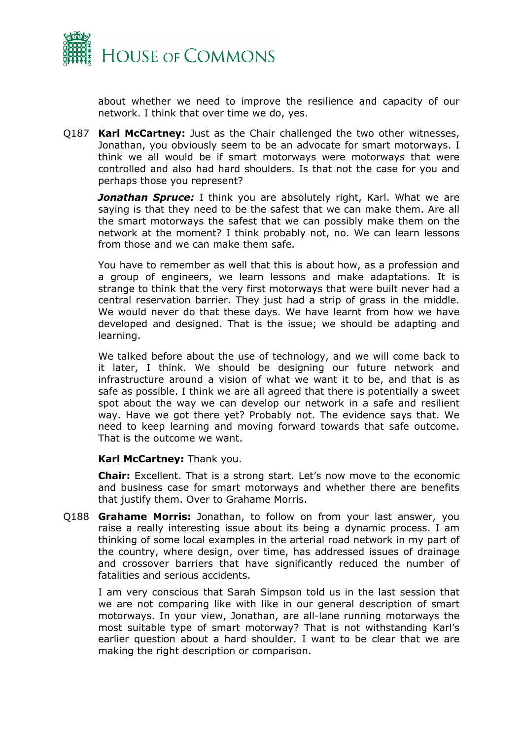

about whether we need to improve the resilience and capacity of our network. I think that over time we do, yes.

Q187 **Karl McCartney:** Just as the Chair challenged the two other witnesses, Jonathan, you obviously seem to be an advocate for smart motorways. I think we all would be if smart motorways were motorways that were controlled and also had hard shoulders. Is that not the case for you and perhaps those you represent?

**Jonathan Spruce:** I think you are absolutely right, Karl. What we are saying is that they need to be the safest that we can make them. Are all the smart motorways the safest that we can possibly make them on the network at the moment? I think probably not, no. We can learn lessons from those and we can make them safe.

You have to remember as well that this is about how, as a profession and a group of engineers, we learn lessons and make adaptations. It is strange to think that the very first motorways that were built never had a central reservation barrier. They just had a strip of grass in the middle. We would never do that these days. We have learnt from how we have developed and designed. That is the issue; we should be adapting and learning.

We talked before about the use of technology, and we will come back to it later, I think. We should be designing our future network and infrastructure around a vision of what we want it to be, and that is as safe as possible. I think we are all agreed that there is potentially a sweet spot about the way we can develop our network in a safe and resilient way. Have we got there yet? Probably not. The evidence says that. We need to keep learning and moving forward towards that safe outcome. That is the outcome we want.

#### **Karl McCartney:** Thank you.

**Chair:** Excellent. That is a strong start. Let's now move to the economic and business case for smart motorways and whether there are benefits that justify them. Over to Grahame Morris.

Q188 **Grahame Morris:** Jonathan, to follow on from your last answer, you raise a really interesting issue about its being a dynamic process. I am thinking of some local examples in the arterial road network in my part of the country, where design, over time, has addressed issues of drainage and crossover barriers that have significantly reduced the number of fatalities and serious accidents.

I am very conscious that Sarah Simpson told us in the last session that we are not comparing like with like in our general description of smart motorways. In your view, Jonathan, are all-lane running motorways the most suitable type of smart motorway? That is not withstanding Karl's earlier question about a hard shoulder. I want to be clear that we are making the right description or comparison.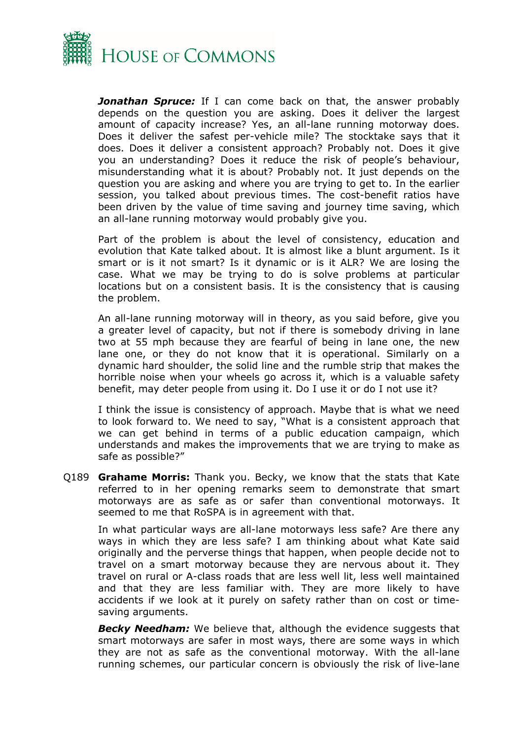

*Jonathan Spruce:* If I can come back on that, the answer probably depends on the question you are asking. Does it deliver the largest amount of capacity increase? Yes, an all-lane running motorway does. Does it deliver the safest per-vehicle mile? The stocktake says that it does. Does it deliver a consistent approach? Probably not. Does it give you an understanding? Does it reduce the risk of people's behaviour, misunderstanding what it is about? Probably not. It just depends on the question you are asking and where you are trying to get to. In the earlier session, you talked about previous times. The cost-benefit ratios have been driven by the value of time saving and journey time saving, which an all-lane running motorway would probably give you.

Part of the problem is about the level of consistency, education and evolution that Kate talked about. It is almost like a blunt argument. Is it smart or is it not smart? Is it dynamic or is it ALR? We are losing the case. What we may be trying to do is solve problems at particular locations but on a consistent basis. It is the consistency that is causing the problem.

An all-lane running motorway will in theory, as you said before, give you a greater level of capacity, but not if there is somebody driving in lane two at 55 mph because they are fearful of being in lane one, the new lane one, or they do not know that it is operational. Similarly on a dynamic hard shoulder, the solid line and the rumble strip that makes the horrible noise when your wheels go across it, which is a valuable safety benefit, may deter people from using it. Do I use it or do I not use it?

I think the issue is consistency of approach. Maybe that is what we need to look forward to. We need to say, "What is a consistent approach that we can get behind in terms of a public education campaign, which understands and makes the improvements that we are trying to make as safe as possible?"

Q189 **Grahame Morris:** Thank you. Becky, we know that the stats that Kate referred to in her opening remarks seem to demonstrate that smart motorways are as safe as or safer than conventional motorways. It seemed to me that RoSPA is in agreement with that.

In what particular ways are all-lane motorways less safe? Are there any ways in which they are less safe? I am thinking about what Kate said originally and the perverse things that happen, when people decide not to travel on a smart motorway because they are nervous about it. They travel on rural or A-class roads that are less well lit, less well maintained and that they are less familiar with. They are more likely to have accidents if we look at it purely on safety rather than on cost or timesaving arguments.

*Becky Needham:* We believe that, although the evidence suggests that smart motorways are safer in most ways, there are some ways in which they are not as safe as the conventional motorway. With the all-lane running schemes, our particular concern is obviously the risk of live-lane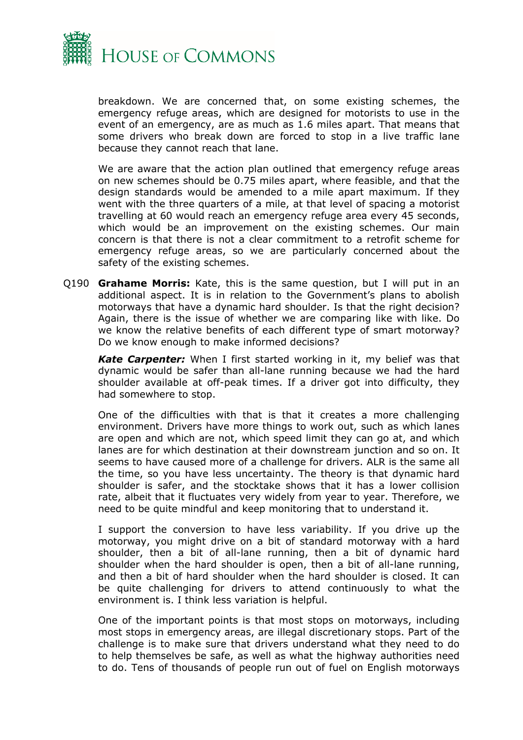

breakdown. We are concerned that, on some existing schemes, the emergency refuge areas, which are designed for motorists to use in the event of an emergency, are as much as 1.6 miles apart. That means that some drivers who break down are forced to stop in a live traffic lane because they cannot reach that lane.

We are aware that the action plan outlined that emergency refuge areas on new schemes should be 0.75 miles apart, where feasible, and that the design standards would be amended to a mile apart maximum. If they went with the three quarters of a mile, at that level of spacing a motorist travelling at 60 would reach an emergency refuge area every 45 seconds, which would be an improvement on the existing schemes. Our main concern is that there is not a clear commitment to a retrofit scheme for emergency refuge areas, so we are particularly concerned about the safety of the existing schemes.

Q190 **Grahame Morris:** Kate, this is the same question, but I will put in an additional aspect. It is in relation to the Government's plans to abolish motorways that have a dynamic hard shoulder. Is that the right decision? Again, there is the issue of whether we are comparing like with like. Do we know the relative benefits of each different type of smart motorway? Do we know enough to make informed decisions?

*Kate Carpenter:* When I first started working in it, my belief was that dynamic would be safer than all-lane running because we had the hard shoulder available at off-peak times. If a driver got into difficulty, they had somewhere to stop.

One of the difficulties with that is that it creates a more challenging environment. Drivers have more things to work out, such as which lanes are open and which are not, which speed limit they can go at, and which lanes are for which destination at their downstream junction and so on. It seems to have caused more of a challenge for drivers. ALR is the same all the time, so you have less uncertainty. The theory is that dynamic hard shoulder is safer, and the stocktake shows that it has a lower collision rate, albeit that it fluctuates very widely from year to year. Therefore, we need to be quite mindful and keep monitoring that to understand it.

I support the conversion to have less variability. If you drive up the motorway, you might drive on a bit of standard motorway with a hard shoulder, then a bit of all-lane running, then a bit of dynamic hard shoulder when the hard shoulder is open, then a bit of all-lane running, and then a bit of hard shoulder when the hard shoulder is closed. It can be quite challenging for drivers to attend continuously to what the environment is. I think less variation is helpful.

One of the important points is that most stops on motorways, including most stops in emergency areas, are illegal discretionary stops. Part of the challenge is to make sure that drivers understand what they need to do to help themselves be safe, as well as what the highway authorities need to do. Tens of thousands of people run out of fuel on English motorways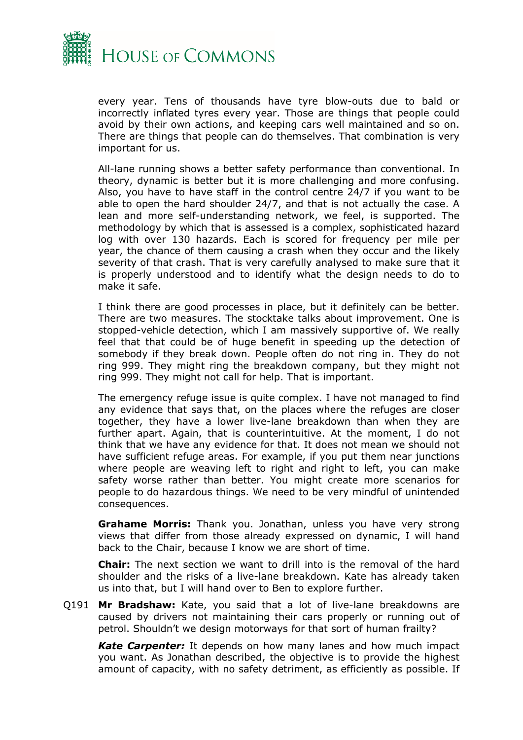

every year. Tens of thousands have tyre blow-outs due to bald or incorrectly inflated tyres every year. Those are things that people could avoid by their own actions, and keeping cars well maintained and so on. There are things that people can do themselves. That combination is very important for us.

All-lane running shows a better safety performance than conventional. In theory, dynamic is better but it is more challenging and more confusing. Also, you have to have staff in the control centre 24/7 if you want to be able to open the hard shoulder 24/7, and that is not actually the case. A lean and more self-understanding network, we feel, is supported. The methodology by which that is assessed is a complex, sophisticated hazard log with over 130 hazards. Each is scored for frequency per mile per year, the chance of them causing a crash when they occur and the likely severity of that crash. That is very carefully analysed to make sure that it is properly understood and to identify what the design needs to do to make it safe.

I think there are good processes in place, but it definitely can be better. There are two measures. The stocktake talks about improvement. One is stopped-vehicle detection, which I am massively supportive of. We really feel that that could be of huge benefit in speeding up the detection of somebody if they break down. People often do not ring in. They do not ring 999. They might ring the breakdown company, but they might not ring 999. They might not call for help. That is important.

The emergency refuge issue is quite complex. I have not managed to find any evidence that says that, on the places where the refuges are closer together, they have a lower live-lane breakdown than when they are further apart. Again, that is counterintuitive. At the moment, I do not think that we have any evidence for that. It does not mean we should not have sufficient refuge areas. For example, if you put them near junctions where people are weaving left to right and right to left, you can make safety worse rather than better. You might create more scenarios for people to do hazardous things. We need to be very mindful of unintended consequences.

**Grahame Morris:** Thank you. Jonathan, unless you have very strong views that differ from those already expressed on dynamic, I will hand back to the Chair, because I know we are short of time.

**Chair:** The next section we want to drill into is the removal of the hard shoulder and the risks of a live-lane breakdown. Kate has already taken us into that, but I will hand over to Ben to explore further.

Q191 **Mr Bradshaw:** Kate, you said that a lot of live-lane breakdowns are caused by drivers not maintaining their cars properly or running out of petrol. Shouldn't we design motorways for that sort of human frailty?

*Kate Carpenter:* It depends on how many lanes and how much impact you want. As Jonathan described, the objective is to provide the highest amount of capacity, with no safety detriment, as efficiently as possible. If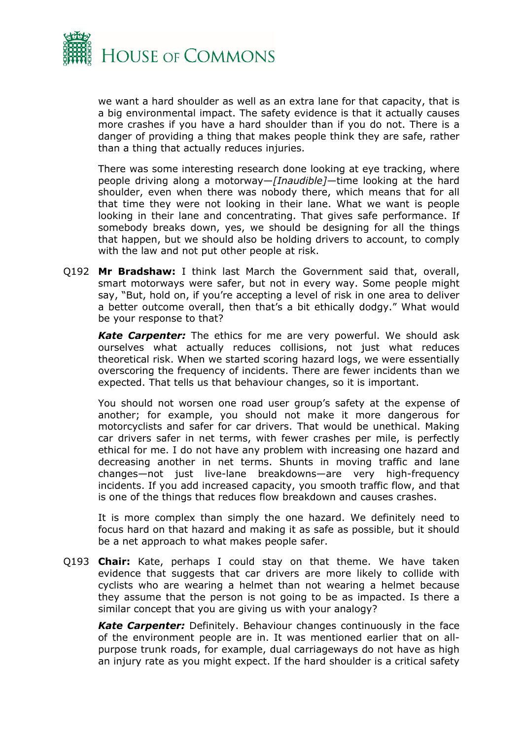

we want a hard shoulder as well as an extra lane for that capacity, that is a big environmental impact. The safety evidence is that it actually causes more crashes if you have a hard shoulder than if you do not. There is a danger of providing a thing that makes people think they are safe, rather than a thing that actually reduces injuries.

There was some interesting research done looking at eye tracking, where people driving along a motorway—*[Inaudible]—*time looking at the hard shoulder, even when there was nobody there, which means that for all that time they were not looking in their lane. What we want is people looking in their lane and concentrating. That gives safe performance. If somebody breaks down, yes, we should be designing for all the things that happen, but we should also be holding drivers to account, to comply with the law and not put other people at risk.

Q192 **Mr Bradshaw:** I think last March the Government said that, overall, smart motorways were safer, but not in every way. Some people might say, "But, hold on, if you're accepting a level of risk in one area to deliver a better outcome overall, then that's a bit ethically dodgy." What would be your response to that?

*Kate Carpenter:* The ethics for me are very powerful. We should ask ourselves what actually reduces collisions, not just what reduces theoretical risk. When we started scoring hazard logs, we were essentially overscoring the frequency of incidents. There are fewer incidents than we expected. That tells us that behaviour changes, so it is important.

You should not worsen one road user group's safety at the expense of another; for example, you should not make it more dangerous for motorcyclists and safer for car drivers. That would be unethical. Making car drivers safer in net terms, with fewer crashes per mile, is perfectly ethical for me. I do not have any problem with increasing one hazard and decreasing another in net terms. Shunts in moving traffic and lane changes—not just live-lane breakdowns—are very high-frequency incidents. If you add increased capacity, you smooth traffic flow, and that is one of the things that reduces flow breakdown and causes crashes.

It is more complex than simply the one hazard. We definitely need to focus hard on that hazard and making it as safe as possible, but it should be a net approach to what makes people safer.

Q193 **Chair:** Kate, perhaps I could stay on that theme. We have taken evidence that suggests that car drivers are more likely to collide with cyclists who are wearing a helmet than not wearing a helmet because they assume that the person is not going to be as impacted. Is there a similar concept that you are giving us with your analogy?

*Kate Carpenter:* Definitely. Behaviour changes continuously in the face of the environment people are in. It was mentioned earlier that on allpurpose trunk roads, for example, dual carriageways do not have as high an injury rate as you might expect. If the hard shoulder is a critical safety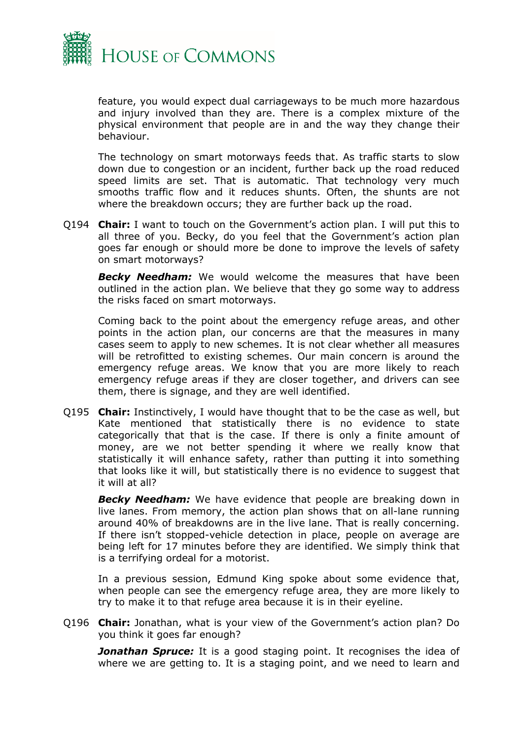

feature, you would expect dual carriageways to be much more hazardous and injury involved than they are. There is a complex mixture of the physical environment that people are in and the way they change their behaviour.

The technology on smart motorways feeds that. As traffic starts to slow down due to congestion or an incident, further back up the road reduced speed limits are set. That is automatic. That technology very much smooths traffic flow and it reduces shunts. Often, the shunts are not where the breakdown occurs; they are further back up the road.

Q194 **Chair:** I want to touch on the Government's action plan. I will put this to all three of you. Becky, do you feel that the Government's action plan goes far enough or should more be done to improve the levels of safety on smart motorways?

*Becky Needham:* We would welcome the measures that have been outlined in the action plan. We believe that they go some way to address the risks faced on smart motorways.

Coming back to the point about the emergency refuge areas, and other points in the action plan, our concerns are that the measures in many cases seem to apply to new schemes. It is not clear whether all measures will be retrofitted to existing schemes. Our main concern is around the emergency refuge areas. We know that you are more likely to reach emergency refuge areas if they are closer together, and drivers can see them, there is signage, and they are well identified.

Q195 **Chair:** Instinctively, I would have thought that to be the case as well, but Kate mentioned that statistically there is no evidence to state categorically that that is the case. If there is only a finite amount of money, are we not better spending it where we really know that statistically it will enhance safety, rather than putting it into something that looks like it will, but statistically there is no evidence to suggest that it will at all?

**Becky Needham:** We have evidence that people are breaking down in live lanes. From memory, the action plan shows that on all-lane running around 40% of breakdowns are in the live lane. That is really concerning. If there isn't stopped-vehicle detection in place, people on average are being left for 17 minutes before they are identified. We simply think that is a terrifying ordeal for a motorist.

In a previous session, Edmund King spoke about some evidence that, when people can see the emergency refuge area, they are more likely to try to make it to that refuge area because it is in their eyeline.

Q196 **Chair:** Jonathan, what is your view of the Government's action plan? Do you think it goes far enough?

**Jonathan Spruce:** It is a good staging point. It recognises the idea of where we are getting to. It is a staging point, and we need to learn and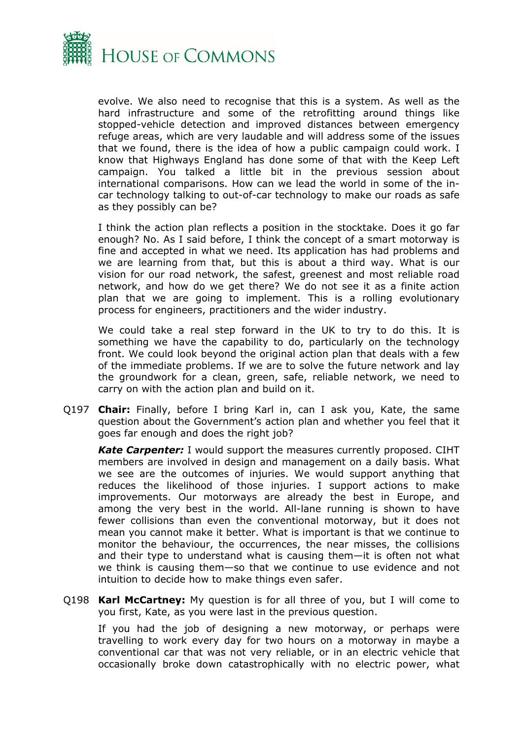

evolve. We also need to recognise that this is a system. As well as the hard infrastructure and some of the retrofitting around things like stopped-vehicle detection and improved distances between emergency refuge areas, which are very laudable and will address some of the issues that we found, there is the idea of how a public campaign could work. I know that Highways England has done some of that with the Keep Left campaign. You talked a little bit in the previous session about international comparisons. How can we lead the world in some of the incar technology talking to out-of-car technology to make our roads as safe as they possibly can be?

I think the action plan reflects a position in the stocktake. Does it go far enough? No. As I said before, I think the concept of a smart motorway is fine and accepted in what we need. Its application has had problems and we are learning from that, but this is about a third way. What is our vision for our road network, the safest, greenest and most reliable road network, and how do we get there? We do not see it as a finite action plan that we are going to implement. This is a rolling evolutionary process for engineers, practitioners and the wider industry.

We could take a real step forward in the UK to try to do this. It is something we have the capability to do, particularly on the technology front. We could look beyond the original action plan that deals with a few of the immediate problems. If we are to solve the future network and lay the groundwork for a clean, green, safe, reliable network, we need to carry on with the action plan and build on it.

Q197 **Chair:** Finally, before I bring Karl in, can I ask you, Kate, the same question about the Government's action plan and whether you feel that it goes far enough and does the right job?

*Kate Carpenter:* I would support the measures currently proposed. CIHT members are involved in design and management on a daily basis. What we see are the outcomes of injuries. We would support anything that reduces the likelihood of those injuries. I support actions to make improvements. Our motorways are already the best in Europe, and among the very best in the world. All-lane running is shown to have fewer collisions than even the conventional motorway, but it does not mean you cannot make it better. What is important is that we continue to monitor the behaviour, the occurrences, the near misses, the collisions and their type to understand what is causing them—it is often not what we think is causing them—so that we continue to use evidence and not intuition to decide how to make things even safer.

Q198 **Karl McCartney:** My question is for all three of you, but I will come to you first, Kate, as you were last in the previous question.

If you had the job of designing a new motorway, or perhaps were travelling to work every day for two hours on a motorway in maybe a conventional car that was not very reliable, or in an electric vehicle that occasionally broke down catastrophically with no electric power, what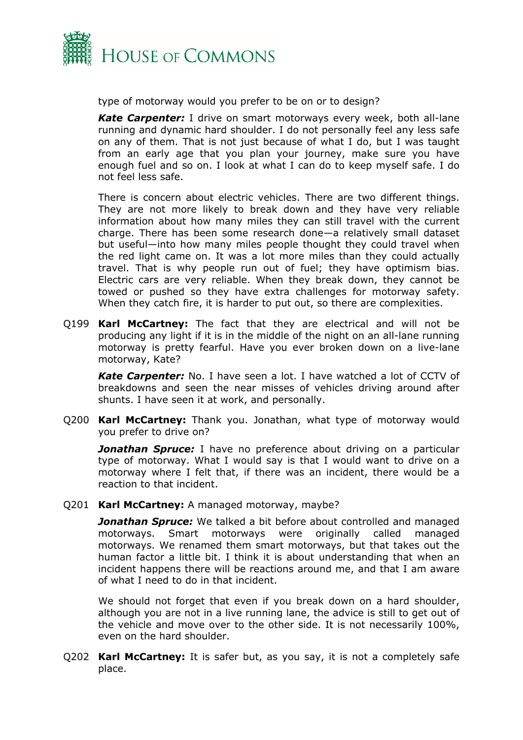

type of motorway would you prefer to be on or to design?

*Kate Carpenter:* I drive on smart motorways every week, both all-lane running and dynamic hard shoulder. I do not personally feel any less safe on any of them. That is not just because of what I do, but I was taught from an early age that you plan your journey, make sure you have enough fuel and so on. I look at what I can do to keep myself safe. I do not feel less safe.

There is concern about electric vehicles. There are two different things. They are not more likely to break down and they have very reliable information about how many miles they can still travel with the current charge. There has been some research done—a relatively small dataset but useful—into how many miles people thought they could travel when the red light came on. It was a lot more miles than they could actually travel. That is why people run out of fuel; they have optimism bias. Electric cars are very reliable. When they break down, they cannot be towed or pushed so they have extra challenges for motorway safety. When they catch fire, it is harder to put out, so there are complexities.

Q199 **Karl McCartney:** The fact that they are electrical and will not be producing any light if it is in the middle of the night on an all-lane running motorway is pretty fearful. Have you ever broken down on a live-lane motorway, Kate?

*Kate Carpenter:* No. I have seen a lot. I have watched a lot of CCTV of breakdowns and seen the near misses of vehicles driving around after shunts. I have seen it at work, and personally.

Q200 **Karl McCartney:** Thank you. Jonathan, what type of motorway would you prefer to drive on?

*Jonathan Spruce:* I have no preference about driving on a particular type of motorway. What I would say is that I would want to drive on a motorway where I felt that, if there was an incident, there would be a reaction to that incident.

Q201 **Karl McCartney:** A managed motorway, maybe?

*Jonathan Spruce:* We talked a bit before about controlled and managed motorways. Smart motorways were originally called managed motorways. We renamed them smart motorways, but that takes out the human factor a little bit. I think it is about understanding that when an incident happens there will be reactions around me, and that I am aware of what I need to do in that incident.

We should not forget that even if you break down on a hard shoulder, although you are not in a live running lane, the advice is still to get out of the vehicle and move over to the other side. It is not necessarily 100%, even on the hard shoulder.

Q202 **Karl McCartney:** It is safer but, as you say, it is not a completely safe place.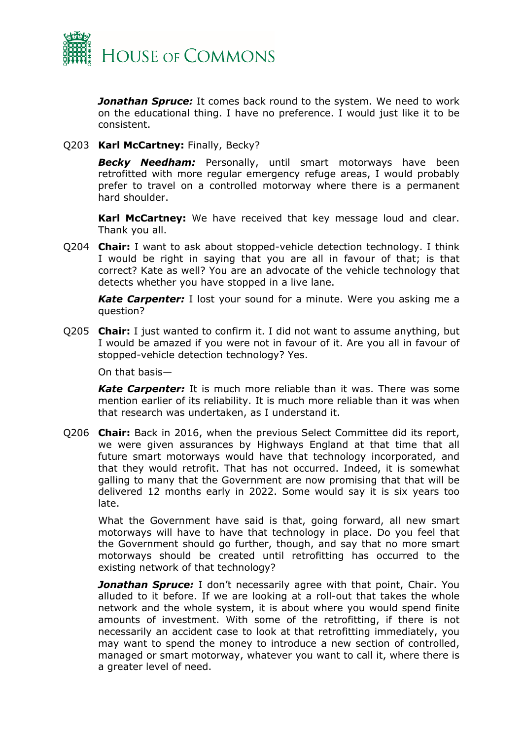

*Jonathan Spruce:* It comes back round to the system. We need to work on the educational thing. I have no preference. I would just like it to be consistent.

Q203 **Karl McCartney:** Finally, Becky?

*Becky Needham:* Personally, until smart motorways have been retrofitted with more regular emergency refuge areas, I would probably prefer to travel on a controlled motorway where there is a permanent hard shoulder.

**Karl McCartney:** We have received that key message loud and clear. Thank you all.

Q204 **Chair:** I want to ask about stopped-vehicle detection technology. I think I would be right in saying that you are all in favour of that; is that correct? Kate as well? You are an advocate of the vehicle technology that detects whether you have stopped in a live lane.

*Kate Carpenter:* I lost your sound for a minute. Were you asking me a question?

Q205 **Chair:** I just wanted to confirm it. I did not want to assume anything, but I would be amazed if you were not in favour of it. Are you all in favour of stopped-vehicle detection technology? Yes.

On that basis—

*Kate Carpenter:* It is much more reliable than it was. There was some mention earlier of its reliability. It is much more reliable than it was when that research was undertaken, as I understand it.

Q206 **Chair:** Back in 2016, when the previous Select Committee did its report, we were given assurances by Highways England at that time that all future smart motorways would have that technology incorporated, and that they would retrofit. That has not occurred. Indeed, it is somewhat galling to many that the Government are now promising that that will be delivered 12 months early in 2022. Some would say it is six years too late.

What the Government have said is that, going forward, all new smart motorways will have to have that technology in place. Do you feel that the Government should go further, though, and say that no more smart motorways should be created until retrofitting has occurred to the existing network of that technology?

*Jonathan Spruce:* I don't necessarily agree with that point, Chair. You alluded to it before. If we are looking at a roll-out that takes the whole network and the whole system, it is about where you would spend finite amounts of investment. With some of the retrofitting, if there is not necessarily an accident case to look at that retrofitting immediately, you may want to spend the money to introduce a new section of controlled, managed or smart motorway, whatever you want to call it, where there is a greater level of need.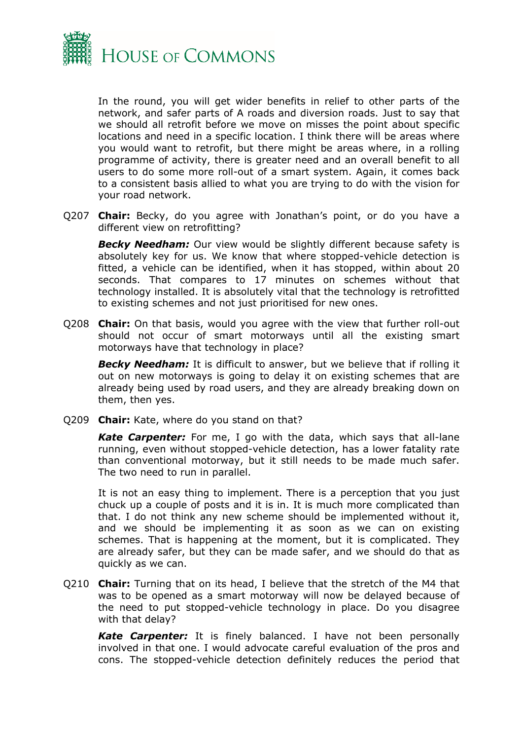

In the round, you will get wider benefits in relief to other parts of the network, and safer parts of A roads and diversion roads. Just to say that we should all retrofit before we move on misses the point about specific locations and need in a specific location. I think there will be areas where you would want to retrofit, but there might be areas where, in a rolling programme of activity, there is greater need and an overall benefit to all users to do some more roll-out of a smart system. Again, it comes back to a consistent basis allied to what you are trying to do with the vision for your road network.

Q207 **Chair:** Becky, do you agree with Jonathan's point, or do you have a different view on retrofitting?

**Becky Needham:** Our view would be slightly different because safety is absolutely key for us. We know that where stopped-vehicle detection is fitted, a vehicle can be identified, when it has stopped, within about 20 seconds. That compares to 17 minutes on schemes without that technology installed. It is absolutely vital that the technology is retrofitted to existing schemes and not just prioritised for new ones.

Q208 **Chair:** On that basis, would you agree with the view that further roll-out should not occur of smart motorways until all the existing smart motorways have that technology in place?

*Becky Needham:* It is difficult to answer, but we believe that if rolling it out on new motorways is going to delay it on existing schemes that are already being used by road users, and they are already breaking down on them, then yes.

Q209 **Chair:** Kate, where do you stand on that?

*Kate Carpenter:* For me, I go with the data, which says that all-lane running, even without stopped-vehicle detection, has a lower fatality rate than conventional motorway, but it still needs to be made much safer. The two need to run in parallel.

It is not an easy thing to implement. There is a perception that you just chuck up a couple of posts and it is in. It is much more complicated than that. I do not think any new scheme should be implemented without it, and we should be implementing it as soon as we can on existing schemes. That is happening at the moment, but it is complicated. They are already safer, but they can be made safer, and we should do that as quickly as we can.

Q210 **Chair:** Turning that on its head, I believe that the stretch of the M4 that was to be opened as a smart motorway will now be delayed because of the need to put stopped-vehicle technology in place. Do you disagree with that delay?

*Kate Carpenter:* It is finely balanced. I have not been personally involved in that one. I would advocate careful evaluation of the pros and cons. The stopped-vehicle detection definitely reduces the period that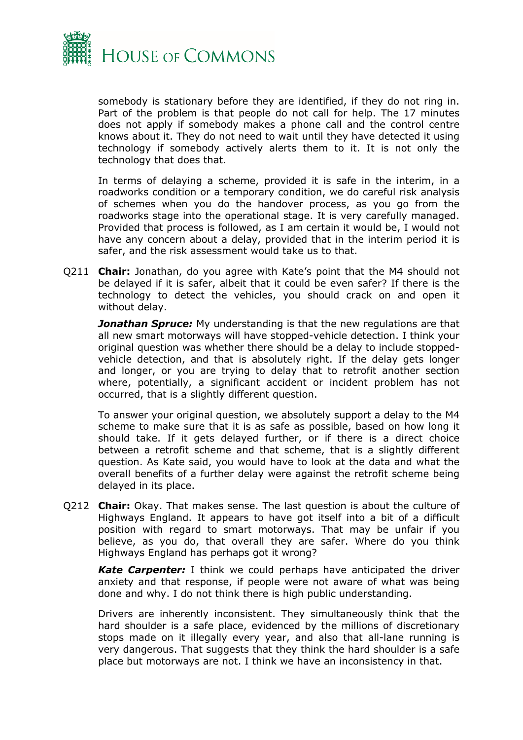

somebody is stationary before they are identified, if they do not ring in. Part of the problem is that people do not call for help. The 17 minutes does not apply if somebody makes a phone call and the control centre knows about it. They do not need to wait until they have detected it using technology if somebody actively alerts them to it. It is not only the technology that does that.

In terms of delaying a scheme, provided it is safe in the interim, in a roadworks condition or a temporary condition, we do careful risk analysis of schemes when you do the handover process, as you go from the roadworks stage into the operational stage. It is very carefully managed. Provided that process is followed, as I am certain it would be, I would not have any concern about a delay, provided that in the interim period it is safer, and the risk assessment would take us to that.

Q211 **Chair:** Jonathan, do you agree with Kate's point that the M4 should not be delayed if it is safer, albeit that it could be even safer? If there is the technology to detect the vehicles, you should crack on and open it without delay.

*Jonathan Spruce:* My understanding is that the new regulations are that all new smart motorways will have stopped-vehicle detection. I think your original question was whether there should be a delay to include stoppedvehicle detection, and that is absolutely right. If the delay gets longer and longer, or you are trying to delay that to retrofit another section where, potentially, a significant accident or incident problem has not occurred, that is a slightly different question.

To answer your original question, we absolutely support a delay to the M4 scheme to make sure that it is as safe as possible, based on how long it should take. If it gets delayed further, or if there is a direct choice between a retrofit scheme and that scheme, that is a slightly different question. As Kate said, you would have to look at the data and what the overall benefits of a further delay were against the retrofit scheme being delayed in its place.

Q212 **Chair:** Okay. That makes sense. The last question is about the culture of Highways England. It appears to have got itself into a bit of a difficult position with regard to smart motorways. That may be unfair if you believe, as you do, that overall they are safer. Where do you think Highways England has perhaps got it wrong?

*Kate Carpenter:* I think we could perhaps have anticipated the driver anxiety and that response, if people were not aware of what was being done and why. I do not think there is high public understanding.

Drivers are inherently inconsistent. They simultaneously think that the hard shoulder is a safe place, evidenced by the millions of discretionary stops made on it illegally every year, and also that all-lane running is very dangerous. That suggests that they think the hard shoulder is a safe place but motorways are not. I think we have an inconsistency in that.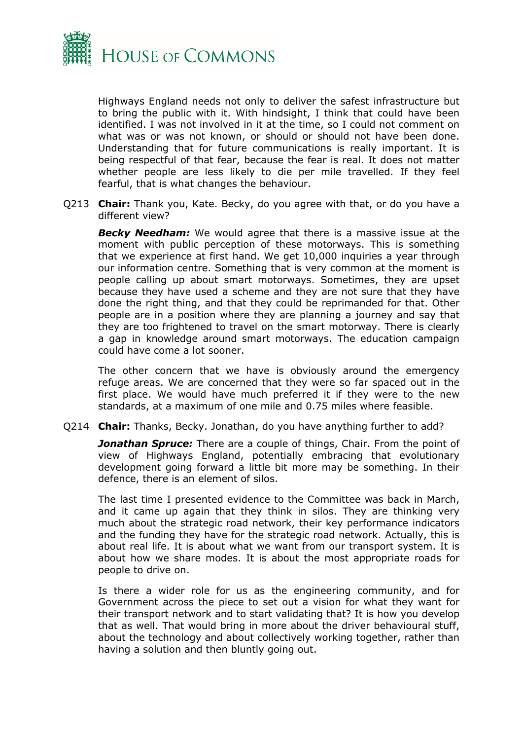

Highways England needs not only to deliver the safest infrastructure but to bring the public with it. With hindsight, I think that could have been identified. I was not involved in it at the time, so I could not comment on what was or was not known, or should or should not have been done. Understanding that for future communications is really important. It is being respectful of that fear, because the fear is real. It does not matter whether people are less likely to die per mile travelled. If they feel fearful, that is what changes the behaviour.

Q213 **Chair:** Thank you, Kate. Becky, do you agree with that, or do you have a different view?

*Becky Needham:* We would agree that there is a massive issue at the moment with public perception of these motorways. This is something that we experience at first hand. We get 10,000 inquiries a year through our information centre. Something that is very common at the moment is people calling up about smart motorways. Sometimes, they are upset because they have used a scheme and they are not sure that they have done the right thing, and that they could be reprimanded for that. Other people are in a position where they are planning a journey and say that they are too frightened to travel on the smart motorway. There is clearly a gap in knowledge around smart motorways. The education campaign could have come a lot sooner.

The other concern that we have is obviously around the emergency refuge areas. We are concerned that they were so far spaced out in the first place. We would have much preferred it if they were to the new standards, at a maximum of one mile and 0.75 miles where feasible.

Q214 **Chair:** Thanks, Becky. Jonathan, do you have anything further to add?

*Jonathan Spruce:* There are a couple of things, Chair. From the point of view of Highways England, potentially embracing that evolutionary development going forward a little bit more may be something. In their defence, there is an element of silos.

The last time I presented evidence to the Committee was back in March, and it came up again that they think in silos. They are thinking very much about the strategic road network, their key performance indicators and the funding they have for the strategic road network. Actually, this is about real life. It is about what we want from our transport system. It is about how we share modes. It is about the most appropriate roads for people to drive on.

Is there a wider role for us as the engineering community, and for Government across the piece to set out a vision for what they want for their transport network and to start validating that? It is how you develop that as well. That would bring in more about the driver behavioural stuff, about the technology and about collectively working together, rather than having a solution and then bluntly going out.